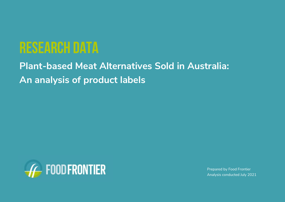# research data

**Plant-based Meat Alternatives Sold in Australia: An analysis of product labels**



Prepared by Food Frontier Analysis conducted July 2021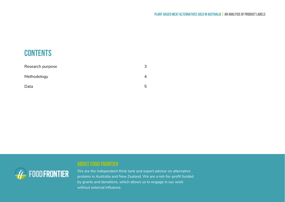### **CONTENTS**

| Research purpose |   |
|------------------|---|
| Methodology      |   |
| Data             | ь |



### About food frontier

We are the independent think tank and expert advisor on alternative proteins in Australia and New Zealand. We are a not-for-profit funded by grants and donations, which allows us to engage in our work without external influence.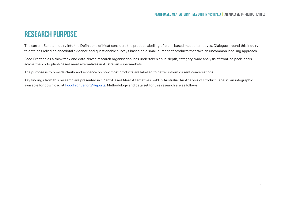### <span id="page-2-0"></span>Research Purpose

The current Senate Inquiry into the Definitions of Meat considers the product labelling of plant-based meat alternatives. Dialogue around this inquiry to date has relied on anecdotal evidence and questionable surveys based on a small number of products that take an uncommon labelling approach.

Food Frontier, as a think tank and data-driven research organisation, has undertaken an in-depth, category-wide analysis of front-of-pack labels across the 250+ plant-based meat alternatives in Australian supermarkets.

The purpose is to provide clarity and evidence on how most products are labelled to better inform current conversations.

Key findings from this research are presented in "Plant-Based Meat Alternatives Sold in Australia: An Analysis of Product Labels", an infographic available for download at [FoodFrontier.org/Reports.](http://foodfrontier.org/Reports) Methodology and data set for this research are as follows.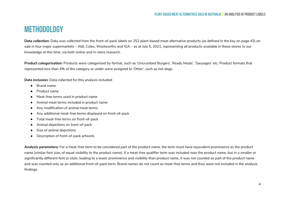### **METHODOLOGY**

**Data collection:** Data was collected from the front-of-pack labels on 252 plant-based meat alternative products (as defined in the key on page 43) on sale in four major supermarkets – Aldi, Coles, Woolworths and IGA – as at July 5, 2021, representing all products available in these stores to our knowledge at this time, via both online and in-store research.

**Product categorisation:** Products were categorised by format, such as 'Uncrumbed Burgers', Ready Meals', 'Sausages' etc. Product formats that represented less than 4% of the category or under were assigned to 'Other', such as hot dogs.

**Data inclusion:** Data collected for this analysis included:

- Brand name
- Product name
- Meat-free terms used in product name
- Animal meat terms included in product name
- Any modification of animal meat terms
- Any additional meat-free terms displayed on front-of-pack
- Total meat-free terms on front-of-pack
- Animal depictions on front-of-pack
- Size of animal depictions
- Description of front-of-pack artwork.

**Analysis parameters:** For a meat-free term to be considered part of the product name, the term must have equivalent prominence as the product name (similar font size; of equal visibility to the product name). If a meat-free qualifier term was included near the product name, but in a smaller or significantly different font or style, leading to a lower prominence and visibility than product name, it was not counted as part of the product name and was counted only as an additional front-of-pack term. Brand names do not count as meat-free terms and thus were not included in the analysis findings.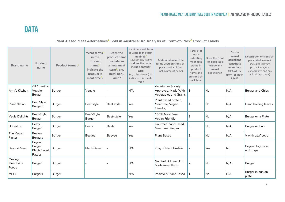## <span id="page-4-0"></span>**DATA**

#### **Plant-Based Meat Alternatives<sup>A</sup> Sold in Australia: An Analysis of Front-of-Pack<sup>B</sup> Product Labels**

| <b>Brand name</b>            | Product<br>name                            | Product format <sup>c</sup> | What terms <sup>D</sup><br>in the<br>product<br>name <sup>E</sup><br>indicate the<br>product is<br>meat-free <sup>F</sup> ? | Does the<br>product name<br>include an<br>animal meat<br>term $6$ , e.g.<br>beef, pork,<br>lamb? | If animal meat term<br>is used, is the term<br>modifiedh<br>(e.g. beef-less, chick'n)<br>or does the name<br>include another<br>term<br>(e.g. plant-based) to<br>indicate it is meat-<br>free? | <b>Additional meat-free</b><br>terms used on front-of-<br>pack product label<br>(not in product name) | Total # of<br>terms<br>indicating<br>meat-free<br>status in<br>product<br>name and<br>on front-of-<br>pack label | Does the front<br>-of-pack label<br>include any<br>animal<br>depictions? | Do the<br>animal<br>depictions<br>constitute<br>more than<br>10% of the<br>front-of-pack<br>label? | Description of front-of-<br>pack label artwork<br>(including relevant<br>product imagery,<br>iconography, and any<br>animal depictions) |
|------------------------------|--------------------------------------------|-----------------------------|-----------------------------------------------------------------------------------------------------------------------------|--------------------------------------------------------------------------------------------------|------------------------------------------------------------------------------------------------------------------------------------------------------------------------------------------------|-------------------------------------------------------------------------------------------------------|------------------------------------------------------------------------------------------------------------------|--------------------------------------------------------------------------|----------------------------------------------------------------------------------------------------|-----------------------------------------------------------------------------------------------------------------------------------------|
| Amy's Kitchen                | All American<br>Veggie<br>Burger           | Burger                      | Veggie                                                                                                                      |                                                                                                  | N/A                                                                                                                                                                                            | Vegetarian Society<br>Approved, Made With<br>Vegetables and Grains                                    | 3                                                                                                                | <b>No</b>                                                                | N/A                                                                                                | Burger and Chips                                                                                                                        |
| <b>Plant Nation</b>          | <b>Beef Style</b><br><b>Burgers</b>        | Burger                      | Beef style                                                                                                                  | Beef style                                                                                       | Yes                                                                                                                                                                                            | Plant based protein,<br>Meat free, Vegan<br>friendly,                                                 | 4                                                                                                                | <b>No</b>                                                                | N/A                                                                                                | Hand holding leaves                                                                                                                     |
| Vegie Delights               | Beef-Style<br>Burger                       | Burger                      | Beef-Style<br>Burger                                                                                                        | Beef-style                                                                                       | Yes                                                                                                                                                                                            | 100% Meat Free.<br>Vegan Friendly                                                                     | 3                                                                                                                | <b>No</b>                                                                | N/A                                                                                                | Burger on a Plate                                                                                                                       |
| Unreal Co.                   | Beefy<br>Burger                            | Burger                      | Beefy                                                                                                                       | Beefy                                                                                            | Yes                                                                                                                                                                                            | Gourmet Plant Based.<br>Meat Free, Vegan                                                              | 3                                                                                                                | <b>No</b>                                                                | N/A                                                                                                | Burger on bun                                                                                                                           |
| The Vegan<br>Factor          | Beevee<br><b>Burgers</b>                   | Burger                      | Beevee                                                                                                                      | Beevee                                                                                           | <b>Yes</b>                                                                                                                                                                                     | <b>Plant Based</b>                                                                                    | $\overline{2}$                                                                                                   | <b>No</b>                                                                | N/A                                                                                                | V with Leaf Logo                                                                                                                        |
| <b>Beyond Meat</b>           | Beyond<br>Burger<br>Plant-Based<br>Patties | Burger                      | Plant-Based                                                                                                                 |                                                                                                  | N/A                                                                                                                                                                                            | 20 g of Plant Protein                                                                                 | $\overline{2}$                                                                                                   | Yes                                                                      | No                                                                                                 | Beyond logo cow<br>with cape                                                                                                            |
| Moving<br>Mountains<br>Foods | Burger                                     | Burger                      |                                                                                                                             |                                                                                                  | N/A                                                                                                                                                                                            | No Beef, All Leaf, I'm<br>Made from Plants                                                            | 2                                                                                                                | No                                                                       | N/A                                                                                                | Burger                                                                                                                                  |
| <b>MEET</b>                  | <b>Burgers</b>                             | Burger                      |                                                                                                                             |                                                                                                  | N/A                                                                                                                                                                                            | Positively Plant Based                                                                                |                                                                                                                  | <b>No</b>                                                                | N/A                                                                                                | Burger in bun on<br>plate                                                                                                               |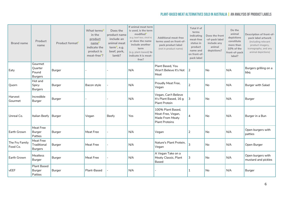| <b>Brand name</b>          | Product<br>name                               | Product format <sup>c</sup> | What terms <sup>D</sup><br>in the<br>product<br>name <sup>E</sup><br>indicate the<br>product is<br>meat-free <sup>F</sup> ? | Does the<br>product name<br>include an<br>animal meat<br>term <sup>G</sup> , e.g.<br>beef, pork,<br>lamb? | If animal meat term<br>is used, is the term<br>modified <sup>H</sup><br>(e.g. beef-less, chick'n)<br>or does the name<br>include another<br>term<br>(e.g. plant-based) to<br>indicate it is meat-<br>free? | <b>Additional meat-free</b><br>terms used on front-of-<br>pack product label<br>(not in product name) | Total # of<br>terms<br>indicating<br>meat-free<br>status in<br>product<br>name and<br>on front-of-<br>pack label | Does the front<br>-of-pack label<br>include any<br>animal<br>depictions? | Do the<br>animal<br>depictions<br>constitute<br>more than<br>10% of the<br>front-of-pack<br>label? | Description of front-of-<br>pack label artwork<br>(including relevant<br>product imagery,<br>iconography, and any<br>animal depictions) |
|----------------------------|-----------------------------------------------|-----------------------------|-----------------------------------------------------------------------------------------------------------------------------|-----------------------------------------------------------------------------------------------------------|------------------------------------------------------------------------------------------------------------------------------------------------------------------------------------------------------------|-------------------------------------------------------------------------------------------------------|------------------------------------------------------------------------------------------------------------------|--------------------------------------------------------------------------|----------------------------------------------------------------------------------------------------|-----------------------------------------------------------------------------------------------------------------------------------------|
| Eaty                       | Gourmet<br>Quarter<br>Pound<br><b>Burgers</b> | Burger                      |                                                                                                                             |                                                                                                           | N/A                                                                                                                                                                                                        | Plant Based, You<br>Won't Believe It's Not<br>Meat                                                    | 2                                                                                                                | No                                                                       | N/A                                                                                                | Burgers grilling on a<br>bbq                                                                                                            |
| Quorn                      | Hot and<br>Spicy<br><b>Burgers</b>            | Burger                      | Bacon style                                                                                                                 |                                                                                                           | N/A                                                                                                                                                                                                        | Proudly Meat Free,<br>Vegan                                                                           | $\overline{2}$                                                                                                   | No                                                                       | N/A                                                                                                | <b>Burger with Salad</b>                                                                                                                |
| Harvest<br>Gourmet         | Incredible<br>Burger                          | Burger                      |                                                                                                                             |                                                                                                           | N/A                                                                                                                                                                                                        | Vegan, Can't Believe<br>It's Plant Based, 16 g<br><b>Plant Protein</b>                                | 3                                                                                                                | No                                                                       | N/A                                                                                                | Burger                                                                                                                                  |
| Unreal Co.                 | Italian Beefy Burger                          |                             | Vegan                                                                                                                       | Beefy                                                                                                     | Yes                                                                                                                                                                                                        | 100% Plant Based,<br>Meat-Free, Vegan,<br>Made From Meaty<br><b>Plant Proteins</b>                    | $\overline{4}$                                                                                                   | No                                                                       | N/A                                                                                                | Burger in a Bun                                                                                                                         |
| Earth Grown                | Meat Free<br>Burger<br>Patties                | Burger                      | Meat Free                                                                                                                   |                                                                                                           | N/A                                                                                                                                                                                                        | Vegan                                                                                                 | 2                                                                                                                | No                                                                       | N/A                                                                                                | Open burgers with<br>patties                                                                                                            |
| The Fry Family<br>Food Co. | Meat Free<br>Traditional<br><b>Burgers</b>    | Burger                      | Meat Free                                                                                                                   |                                                                                                           | N/A                                                                                                                                                                                                        | Nature's Plant Protein,<br>Vegan                                                                      | 3                                                                                                                | No                                                                       | N/A                                                                                                | Open Burger                                                                                                                             |
| Earth Grown                | Meatless<br>Burger                            | Burger                      | Meat Free                                                                                                                   |                                                                                                           | N/A                                                                                                                                                                                                        | A Vegan Take on a<br>Meaty Classic, Plant<br><b>Based</b>                                             | 3                                                                                                                | <b>No</b>                                                                | N/A                                                                                                | Open burgers with<br>mustard and pickles                                                                                                |
| vEEF                       | <b>Plant Based</b><br>Burger<br>Patties       | Burger                      | Plant-Based                                                                                                                 |                                                                                                           | N/A                                                                                                                                                                                                        |                                                                                                       | 1                                                                                                                | <b>No</b>                                                                | N/A                                                                                                | Burger                                                                                                                                  |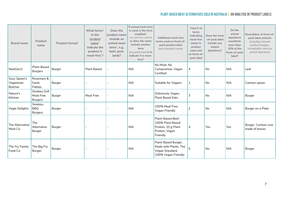| <b>Brand name</b>                            | Product<br>name                             | Product format <sup>c</sup> | What terms <sup>D</sup><br>in the<br>product<br>name <sup>E</sup><br>indicate the<br>product is<br>meat-free <sup>F</sup> ? | Does the<br>product name<br>include an<br>animal meat<br>term <sup>G</sup> , e.g.<br>beef, pork,<br>lamb? | If animal meat term<br>is used, is the term<br>modified <sup>H</sup><br>(e.g. beef-less, chick'n)<br>or does the name<br>include another<br>term<br>(e.g. plant-based) to<br>indicate it is meat-<br>free? | <b>Additional meat-free</b><br>terms used on front-of-<br>pack product label<br>(not in product name) | Total # of<br>terms<br>indicating<br>meat-free<br>status in<br>product<br>name and<br>on front-of-<br>pack label | Does the front<br>-of-pack label<br>include any<br>animal<br>depictions? | Do the<br>animal<br>depictions<br>constitute<br>more than<br>10% of the<br>front-of-pack<br>label? | Description of front-of-<br>pack label artwork<br>(including relevant<br>product imagery,<br>iconography, and any<br>animal depictions) |
|----------------------------------------------|---------------------------------------------|-----------------------------|-----------------------------------------------------------------------------------------------------------------------------|-----------------------------------------------------------------------------------------------------------|------------------------------------------------------------------------------------------------------------------------------------------------------------------------------------------------------------|-------------------------------------------------------------------------------------------------------|------------------------------------------------------------------------------------------------------------------|--------------------------------------------------------------------------|----------------------------------------------------------------------------------------------------|-----------------------------------------------------------------------------------------------------------------------------------------|
| NextGen2                                     | Plant-Based<br><b>Burgers</b>               | Burger                      | <b>Plant Based</b>                                                                                                          |                                                                                                           | N/A                                                                                                                                                                                                        | No Meat, No<br>Compromise, Vegan<br>Certified                                                         | 4                                                                                                                | No                                                                       | N/A                                                                                                | Leaf                                                                                                                                    |
| Suzy Spoon's<br>Vegetarian<br><b>Butcher</b> | Rosemary &<br>Garlic<br>Patties             | Burger                      |                                                                                                                             |                                                                                                           | N/A                                                                                                                                                                                                        | Suitable for Vegans                                                                                   | 1                                                                                                                | No                                                                       | N/A                                                                                                | Cartoon spoon                                                                                                                           |
| Nature's<br>Kitchen                          | Smokey Grill<br>Meat Free<br><b>Burgers</b> | Burger                      | Meat Free                                                                                                                   |                                                                                                           | N/A                                                                                                                                                                                                        | Deliciously Vegan,<br>Plant Based Eats                                                                | 3                                                                                                                | No                                                                       | N/A                                                                                                | Burger                                                                                                                                  |
| Vegie Delights                               | Smokey-<br><b>BBQ</b><br><b>Burgers</b>     | Burger                      |                                                                                                                             |                                                                                                           | N/A                                                                                                                                                                                                        | 100% Meat Free,<br>Vegan Friendly                                                                     | $\overline{2}$                                                                                                   | No                                                                       | N/A                                                                                                | Burger on a Plate                                                                                                                       |
| The Alternative<br>Meat Co.                  | The<br>Alternative<br>Burger                | Burger                      |                                                                                                                             |                                                                                                           | N/A                                                                                                                                                                                                        | Plant-Based Beef.<br>100% Plant Based<br>Protein, 20 g Plant<br>Protein, Vegan<br>Friendly            | 4                                                                                                                | Yes                                                                      | <b>Yes</b>                                                                                         | Burger. Cartoon cow<br>made of leaves.                                                                                                  |
| The Fry Family<br>Food Co.                   | The Big Fry<br>Burger                       | Burger                      |                                                                                                                             |                                                                                                           | N/A                                                                                                                                                                                                        | Plant-Based Burger,<br>Made with Plants, The<br>Vegan Standard,<br>100% Vegan Friendly                | 5                                                                                                                | <b>No</b>                                                                | N/A                                                                                                | Burger                                                                                                                                  |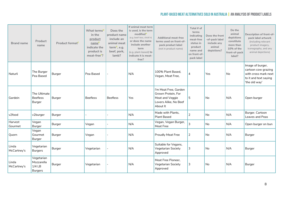| <b>Brand name</b>    | Product<br>name                                        | Product format <sup>c</sup> | What terms <sup>D</sup><br>in the<br>product<br>nameE<br>indicate the<br>product is<br>meat-free <sup>F</sup> ? | Does the<br>product name<br>include an<br>animal meat<br>term <sup>G</sup> , e.g.<br>beef, pork,<br>lamb? | If animal meat term<br>is used, is the term<br>modified <sup>H</sup><br>(e.g. beef-less, chick'n)<br>or does the name<br>include another<br>term<br>(e.g. plant-based) to<br>indicate it is meat-<br>free? | <b>Additional meat-free</b><br>terms used on front-of-<br>pack product label<br>(not in product name) | Total # of<br>terms<br>indicating<br>meat-free<br>status in<br>product<br>name and<br>on front-of-<br>pack label | Does the front<br>-of-pack label<br>include any<br>animal<br>depictions? | Do the<br>animal<br>depictions<br>constitute<br>more than<br>10% of the<br>front-of-pack<br>label? | Description of front-of-<br>pack label artwork<br>(including relevant<br>product imagery,<br>iconography, and any<br>animal depictions) |
|----------------------|--------------------------------------------------------|-----------------------------|-----------------------------------------------------------------------------------------------------------------|-----------------------------------------------------------------------------------------------------------|------------------------------------------------------------------------------------------------------------------------------------------------------------------------------------------------------------|-------------------------------------------------------------------------------------------------------|------------------------------------------------------------------------------------------------------------------|--------------------------------------------------------------------------|----------------------------------------------------------------------------------------------------|-----------------------------------------------------------------------------------------------------------------------------------------|
| Naturli              | The Burger<br>Pea Based                                | Burger                      | Pea Based                                                                                                       |                                                                                                           | N/A                                                                                                                                                                                                        | 100% Plant Based,<br>Vegan, Meat Free,                                                                | $\overline{4}$                                                                                                   | Yes                                                                      | <b>No</b>                                                                                          | Image of burger,<br>cartoon cow grazing<br>with cross mark next<br>to it and text saying<br>'the old way'                               |
| Gardein              | The Ultimate<br><b>Beefless</b><br>Burger              | Burger                      | <b>Beefless</b>                                                                                                 | <b>Beefless</b>                                                                                           | Yes                                                                                                                                                                                                        | I'm Meat Free, Garden<br>Grown Protein, For<br>Meat and Veggie<br>Lovers Alike, No Beef<br>About It   | 5                                                                                                                | N <sub>o</sub>                                                           | N/A                                                                                                | Open burger                                                                                                                             |
| v2food               | v2burger                                               | Burger                      |                                                                                                                 |                                                                                                           | N/A                                                                                                                                                                                                        | Made with Plants.<br><b>Plant Based</b>                                                               | 2                                                                                                                | No                                                                       | N/A                                                                                                | Burger. Cartoon<br>Leaves and Peas                                                                                                      |
| Harvest<br>Gourmet   | Vegan<br>Burger                                        | Burger                      | Vegan                                                                                                           |                                                                                                           | N/A                                                                                                                                                                                                        | Vegan, Vegan Burger,<br>Meat Free                                                                     | 3                                                                                                                | No                                                                       | N/A                                                                                                | Open burger on bun                                                                                                                      |
| Quorn                | Vegan<br>Gourmet<br>Burger                             | Burger                      | Vegan                                                                                                           |                                                                                                           | N/A                                                                                                                                                                                                        | <b>Proudly Meat Free</b>                                                                              | $\sqrt{2}$                                                                                                       | No                                                                       | N/A                                                                                                | Burger                                                                                                                                  |
| Linda<br>McCartney's | Vegetarian<br><b>Burgers</b>                           | Burger                      | Vegetarian                                                                                                      |                                                                                                           | N/A                                                                                                                                                                                                        | Suitable for Vegans,<br>Vegetarian Society<br>Approved                                                | 3                                                                                                                | No                                                                       | N/A                                                                                                | Burger                                                                                                                                  |
| Linda<br>McCartney's | Vegetarian<br>Mozzarella<br>$1/4$ LB<br><b>Burgers</b> | Burger                      | Vegetarian                                                                                                      |                                                                                                           | N/A                                                                                                                                                                                                        | Meat Free Pioneer,<br>Vegetarian Society<br>Approved                                                  | 3                                                                                                                | No                                                                       | N/A                                                                                                | Burger                                                                                                                                  |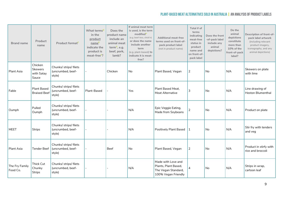| <b>Brand name</b>          | Product<br>name                                  | Product format <sup>c</sup>                           | What terms <sup>D</sup><br>in the<br>product<br>name <sup>E</sup><br>indicate the<br>product is<br>meat-free <sup>F</sup> ? | Does the<br>product name<br>include an<br>animal meat<br>term <sup>G</sup> , e.g.<br>beef, pork,<br>lamb? | If animal meat term<br>is used, is the term<br>modified <sup>H</sup><br>(e.g. beef-less, chick'n)<br>or does the name<br>include another<br>term<br>(e.g. plant-based) to<br>indicate it is meat-<br>free? | <b>Additional meat-free</b><br>terms used on front-of-<br>pack product label<br>(not in product name) | Total # of<br>terms<br>indicating<br>meat-free<br>status in<br>product<br>name and<br>on front-of-<br>pack label | Does the front<br>-of-pack label<br>include any<br>animal<br>depictions? | Do the<br>animal<br>depictions<br>constitute<br>more than<br>10% of the<br>front-of-pack<br>label? | Description of front-of-<br>pack label artwork<br>(including relevant<br>product imagery,<br>iconography, and any<br>animal depictions) |
|----------------------------|--------------------------------------------------|-------------------------------------------------------|-----------------------------------------------------------------------------------------------------------------------------|-----------------------------------------------------------------------------------------------------------|------------------------------------------------------------------------------------------------------------------------------------------------------------------------------------------------------------|-------------------------------------------------------------------------------------------------------|------------------------------------------------------------------------------------------------------------------|--------------------------------------------------------------------------|----------------------------------------------------------------------------------------------------|-----------------------------------------------------------------------------------------------------------------------------------------|
| Plant Asia                 | Chicken<br><b>Skewers</b><br>with Satay<br>Sauce | Chunks/ strips/ filets<br>(uncrumbed, beef-<br>style) |                                                                                                                             | Chicken                                                                                                   | No                                                                                                                                                                                                         | Plant Based, Vegan                                                                                    | 2                                                                                                                | No                                                                       | N/A                                                                                                | Skewers on plate<br>with lime                                                                                                           |
| Fable                      | <b>Plant Based</b><br><b>Braised Beef</b>        | Chunks/ strips/ filets<br>(uncrumbed, beef-<br>style) | Plant-Based                                                                                                                 |                                                                                                           | Yes                                                                                                                                                                                                        | Plant Based Meat,<br>Meat Alternative                                                                 | 3                                                                                                                | No                                                                       | N/A                                                                                                | Line drawing of<br><b>Heston Blumenthal</b>                                                                                             |
| Oumph                      | Pulled<br>Oumph                                  | Chunks/ strips/ filets<br>(uncrumbed, beef-<br>style) |                                                                                                                             |                                                                                                           | N/A                                                                                                                                                                                                        | Epic Veggie Eating,<br>Made from Soybeans                                                             | $\overline{2}$                                                                                                   | No                                                                       | N/A                                                                                                | Product on plate                                                                                                                        |
| <b>MEET</b>                | <b>Strips</b>                                    | Chunks/ strips/ filets<br>(uncrumbed, beef-<br>style) |                                                                                                                             |                                                                                                           | N/A                                                                                                                                                                                                        | <b>Positively Plant Based</b>                                                                         |                                                                                                                  | No                                                                       | N/A                                                                                                | Stir fry with tenders<br>and veg                                                                                                        |
| Plant Asia                 | Tender Beef                                      | Chunks/ strips/ filets<br>(uncrumbed, beef-<br>style) |                                                                                                                             | Beef                                                                                                      | No                                                                                                                                                                                                         | Plant Based, Vegan                                                                                    | $\overline{2}$                                                                                                   | No                                                                       | N/A                                                                                                | Product in stirfy with<br>rice and broccoli                                                                                             |
| The Fry Family<br>Food Co. | Thick Cut<br>Chunky<br><b>Strips</b>             | Chunks/ strips/ filets<br>(uncrumbed, beef-<br>style) |                                                                                                                             |                                                                                                           | N/A                                                                                                                                                                                                        | Made with Love and<br>Plants, Plant Based,<br>The Vegan Standard,<br>100% Vegan Friendly              | 4                                                                                                                | No                                                                       | N/A                                                                                                | Strips in wrap,<br>cartoon leaf                                                                                                         |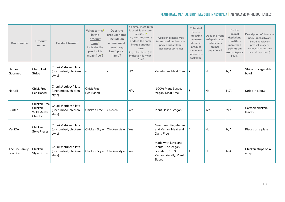| <b>Brand name</b>          | Product<br>name                                 | Product format <sup>c</sup>                               | What terms <sup>D</sup><br>in the<br>product<br>nameE<br>indicate the<br>product is<br>meat-free <sup>F</sup> ? | Does the<br>product name<br>include an<br>animal meat<br>term <sup>G</sup> , e.g.<br>beef, pork,<br>lamb? | If animal meat term<br>is used, is the term<br>modified <sup>H</sup><br>(e.g. beef-less, chick'n)<br>or does the name<br>include another<br>term<br>(e.g. plant-based) to<br>indicate it is meat-<br>free? | <b>Additional meat-free</b><br>terms used on front-of-<br>pack product label<br>(not in product name) | Total # of<br>terms<br>indicating<br>meat-free<br>status in<br>product<br>name and<br>on front-of-<br>pack label | Does the front<br>-of-pack label<br>include any<br>animal<br>depictions? | Do the<br>animal<br>depictions<br>constitute<br>more than<br>10% of the<br>front-of-pack<br>label? | Description of front-of-<br>pack label artwork<br>(including relevant<br>product imagery,<br>iconography, and any<br>animal depictions) |
|----------------------------|-------------------------------------------------|-----------------------------------------------------------|-----------------------------------------------------------------------------------------------------------------|-----------------------------------------------------------------------------------------------------------|------------------------------------------------------------------------------------------------------------------------------------------------------------------------------------------------------------|-------------------------------------------------------------------------------------------------------|------------------------------------------------------------------------------------------------------------------|--------------------------------------------------------------------------|----------------------------------------------------------------------------------------------------|-----------------------------------------------------------------------------------------------------------------------------------------|
| Harvest<br>Gourmet         | Chargilled<br><b>Strips</b>                     | Chunks/ strips/ fillets<br>(uncrumbed, chicken-<br>style) |                                                                                                                 |                                                                                                           | N/A                                                                                                                                                                                                        | Vegetarian, Meat Free                                                                                 | 2                                                                                                                | l No                                                                     | N/A                                                                                                | Strips on vegetable<br>bowl                                                                                                             |
| Naturli                    | <b>Chick Free</b><br>Pea Based                  | Chunks/ strips/ fillets<br>(uncrumbed, chicken-<br>style) | <b>Chick Free</b><br>Pea Based                                                                                  |                                                                                                           | N/A                                                                                                                                                                                                        | 100% Plant Based,<br>Vegan, Meat Free                                                                 | 5                                                                                                                | No.                                                                      | N/A                                                                                                | Strips in a bowl                                                                                                                        |
| Sunfed                     | Chicken Free<br>Chicken<br>Wild Meaty<br>Chunks | Chunks/ strips/ fillets<br>(uncrumbed, chicken-<br>style) | Chicken Free                                                                                                    | Chicken                                                                                                   | Yes                                                                                                                                                                                                        | Plant Based, Vegan                                                                                    | 3                                                                                                                | Yes                                                                      | Yes                                                                                                | Cartoon chicken,<br>leaves                                                                                                              |
| VegiDeli                   | Chicken<br><b>Style Pieces</b>                  | Chunks/ strips/ fillets<br>(uncrumbed, chicken-<br>style) | Chicken Style                                                                                                   | Chicken style                                                                                             | Yes                                                                                                                                                                                                        | Meat Free, Vegetarian<br>and Vegan, Meat and<br>Dairy Free                                            | 4                                                                                                                | No                                                                       | N/A                                                                                                | Pieces on a plate                                                                                                                       |
| The Fry Family<br>Food Co. | Chicken<br><b>Style Strips</b>                  | Chunks/ strips/ fillets<br>(uncrumbed, chicken-<br>style) | Chicken Style                                                                                                   | Chicken style                                                                                             | Yes                                                                                                                                                                                                        | Made with Love and<br>Plants, The Vegan<br>Standard, 100%<br>Vegan Friendly, Plant<br><b>Based</b>    | 4                                                                                                                | No                                                                       | N/A                                                                                                | Chicken strips on a<br>wrap                                                                                                             |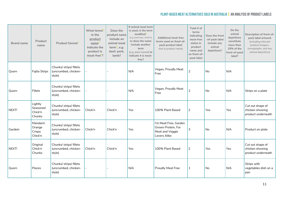| <b>Brand name</b> | Product<br>name                          | Product format <sup>c</sup>                               | What terms <sup>D</sup><br>in the<br>product<br>name<br>indicate the<br>product is<br>meat-free <sup>F</sup> ? | Does the<br>product name<br>include an<br>animal meat<br>term <sup>G</sup> , e.g.<br>beef, pork,<br>lamb? | If animal meat term<br>is used, is the term<br>modified <sup>H</sup><br>(e.g. beef-less, chick'n)<br>or does the name<br>include another<br>term<br>(e.g. plant-based) to<br>indicate it is meat-<br>free? | <b>Additional meat-free</b><br>terms used on front-of-<br>pack product label<br>(not in product name) | Total # of<br>terms<br>indicating<br>meat-free<br>status in<br>product<br>name and<br>on front-of-<br>pack label | Does the front<br>-of-pack label<br>include any<br>animal<br>depictions? | Do the<br>animal<br>depictions<br>constitute<br>more than<br>10% of the<br>front-of-pack<br>label? | Description of front-of-<br>pack label artwork<br>(including relevant<br>product imagery,<br>iconography, and any<br>animal depictions) |
|-------------------|------------------------------------------|-----------------------------------------------------------|----------------------------------------------------------------------------------------------------------------|-----------------------------------------------------------------------------------------------------------|------------------------------------------------------------------------------------------------------------------------------------------------------------------------------------------------------------|-------------------------------------------------------------------------------------------------------|------------------------------------------------------------------------------------------------------------------|--------------------------------------------------------------------------|----------------------------------------------------------------------------------------------------|-----------------------------------------------------------------------------------------------------------------------------------------|
| Quorn             | Fajita Strips                            | Chunks/ strips/ fillets<br>(uncrumbed, chicken-<br>style) |                                                                                                                |                                                                                                           | N/A                                                                                                                                                                                                        | Vegan, Proudly Meat<br>Free                                                                           | $\overline{2}$                                                                                                   | No                                                                       | N/A                                                                                                |                                                                                                                                         |
| Quorn             | Fillets                                  | Chunks/ strips/ fillets<br>(uncrumbed, chicken-<br>style) |                                                                                                                |                                                                                                           | N/A                                                                                                                                                                                                        | Vegan, Proudly Meat<br>Free                                                                           | $\overline{2}$                                                                                                   | No                                                                       | N/A                                                                                                | Strips on a plate                                                                                                                       |
| NEXT!             | Lightly<br>Seasoned<br>Chick'n<br>Chunks | Chunks/ strips/ fillets<br>(uncrumbed, chicken-<br>style) | Chick'n                                                                                                        | Chick'n                                                                                                   | Yes                                                                                                                                                                                                        | 100% Plant Based                                                                                      | $\sqrt{2}$                                                                                                       | Yes                                                                      | Yes                                                                                                | Cut out shape of<br>chicken showing<br>product underneath                                                                               |
| Gardein           | Mandarin<br>Orange<br>Crispy<br>Chick'n  | Chunks/ strips/ fillets<br>(uncrumbed, chicken-<br>style) | Chick'n                                                                                                        | Chick'n                                                                                                   | Yes                                                                                                                                                                                                        | I'm Meat Free, Garden<br>Grown Protein, For<br>Meat and Veggie<br>Lovers Alike                        | 3                                                                                                                | No                                                                       | N/A                                                                                                | Product on plate                                                                                                                        |
| NEXT!             | Original<br>Chick'n<br>Chunks            | Chunks/ strips/ fillets<br>(uncrumbed, chicken-<br>style) | Chick'n                                                                                                        | Chick'n                                                                                                   | Yes                                                                                                                                                                                                        | 100% Plant Based                                                                                      | $\overline{2}$                                                                                                   | Yes                                                                      | Yes                                                                                                | Cut out shape of<br>chicken showing<br>product underneath                                                                               |
| Quorn             | Pieces                                   | Chunks/ strips/ fillets<br>(uncrumbed, chicken-<br>style) |                                                                                                                |                                                                                                           | N/A                                                                                                                                                                                                        | <b>Proudly Meat Free</b>                                                                              | 1                                                                                                                | No                                                                       | N/A                                                                                                | Strips with<br>vegetables dish on a<br>pan                                                                                              |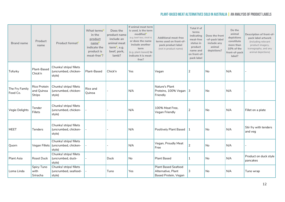| <b>Brand name</b>          | Product<br>name                      | Product format <sup>c</sup>                               | What terms <sup>D</sup><br>in the<br>product<br>name <sup>E</sup><br>indicate the<br>product is<br>meat-free <sup>F</sup> ? | Does the<br>product name<br>include an<br>animal meat<br>term $6$ , e.g.<br>beef, pork,<br>lamb? | If animal meat term<br>is used, is the term<br>modified <sup>H</sup><br>(e.g. beef-less, chick'n)<br>or does the name<br>include another<br>term<br>(e.g. plant-based) to<br>indicate it is meat-<br>free? | <b>Additional meat-free</b><br>terms used on front-of-<br>pack product label<br>(not in product name) | Total # of<br>terms<br>indicating<br>meat-free<br>status in<br>product<br>name and<br>on front-of-<br>pack label | Does the front<br>-of-pack label<br>include any<br>animal<br>depictions? | Do the<br>animal<br>depictions<br>constitute<br>more than<br>10% of the<br>front-of-pack<br>label? | Description of front-of-<br>pack label artwork<br>(including relevant<br>product imagery,<br>iconography, and any<br>animal depictions) |
|----------------------------|--------------------------------------|-----------------------------------------------------------|-----------------------------------------------------------------------------------------------------------------------------|--------------------------------------------------------------------------------------------------|------------------------------------------------------------------------------------------------------------------------------------------------------------------------------------------------------------|-------------------------------------------------------------------------------------------------------|------------------------------------------------------------------------------------------------------------------|--------------------------------------------------------------------------|----------------------------------------------------------------------------------------------------|-----------------------------------------------------------------------------------------------------------------------------------------|
| Tofurky                    | Plant-Based<br>Chick'n               | Chunks/ strips/ fillets<br>(uncrumbed, chicken-<br>style) | Plant-Based                                                                                                                 | Chick'n                                                                                          | Yes                                                                                                                                                                                                        | Vegan                                                                                                 | 2                                                                                                                | No                                                                       | N/A                                                                                                |                                                                                                                                         |
| The Fry Family<br>Food Co. | Rice Protein<br>and Quinoa<br>Strips | Chunks/ strips/ fillets<br>(uncrumbed, chicken-<br>style) | Rice and<br>Quinoa                                                                                                          |                                                                                                  | N/A                                                                                                                                                                                                        | Nature's Plant<br>Proteins, 100% Vegan 3<br>Friendly                                                  |                                                                                                                  | <b>No</b>                                                                | N/A                                                                                                |                                                                                                                                         |
| Vegie Delights             | Tender<br>Fillets                    | Chunks/ strips/ fillets<br>(uncrumbed, chicken-<br>style) |                                                                                                                             |                                                                                                  | N/A                                                                                                                                                                                                        | 100% Meat Free,<br>Vegan Friendly                                                                     | $\overline{2}$                                                                                                   | No                                                                       | N/A                                                                                                | Fillet on a plate                                                                                                                       |
| <b>MEET</b>                | <b>Tenders</b>                       | Chunks/ strips/ fillets<br>(uncrumbed, chicken-<br>style) |                                                                                                                             |                                                                                                  | N/A                                                                                                                                                                                                        | Positively Plant Based                                                                                | 1                                                                                                                | <b>No</b>                                                                | N/A                                                                                                | Stir fry with tenders<br>and veg                                                                                                        |
| Quorn                      | Vegan Fillets                        | Chunks/ strips/ fillets<br>(uncrumbed, chicken-<br>style) |                                                                                                                             |                                                                                                  | N/A                                                                                                                                                                                                        | Vegan, Proudly Meat<br>Free                                                                           | $\overline{2}$                                                                                                   | No                                                                       | N/A                                                                                                |                                                                                                                                         |
| Plant Asia                 | Roast Duck                           | Chunks/ strips/ fillets<br>(uncrumbed, duck-<br>style)    |                                                                                                                             | <b>Duck</b>                                                                                      | No                                                                                                                                                                                                         | <b>Plant Based</b>                                                                                    | 1                                                                                                                | <b>No</b>                                                                | N/A                                                                                                | Product on duck style<br>pancakes                                                                                                       |
| Loma Linda                 | Spicy Tuno<br>with<br>Sriracha       | Chunks/ strips/ fillets<br>(uncrumbed, seafood-<br>style) |                                                                                                                             | Tuno                                                                                             | Yes                                                                                                                                                                                                        | <b>Plant Based Seafood</b><br>Alternative, Plant<br>Based Protein, Vegan                              | 3                                                                                                                | No                                                                       | N/A                                                                                                | Tuno wrap                                                                                                                               |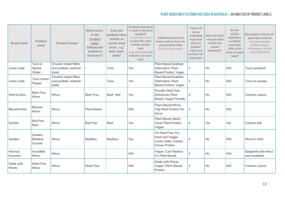| <b>Brand name</b>   | Product<br>name                      | Product format <sup>c</sup>                               | What terms <sup>D</sup><br>in the<br>product<br>name<br>indicate the<br>product is<br>meat-free <sup>F</sup> ? | Does the<br>product name<br>include an<br>animal meat<br>term <sup>G</sup> , e.g.<br>beef, pork,<br>lamb? | If animal meat term<br>is used, is the term<br>modified <sup>H</sup><br>(e.g. beef-less, chick'n)<br>or does the name<br>include another<br>term<br>(e.g. plant-based) to<br>indicate it is meat-<br>free? | <b>Additional meat-free</b><br>terms used on front-of-<br>pack product label<br>(not in product name) | Total # of<br>terms<br>indicating<br>meat-free<br>status in<br>product<br>name and<br>on front-of-<br>pack label | Does the front<br>-of-pack label<br>include any<br>animal<br>depictions? | Do the<br>animal<br>depictions<br>constitute<br>more than<br>10% of the<br>front-of-pack<br>label? | Description of front-of-<br>pack label artwork<br>(including relevant<br>product imagery,<br>iconography, and any<br>animal depictions) |
|---------------------|--------------------------------------|-----------------------------------------------------------|----------------------------------------------------------------------------------------------------------------|-----------------------------------------------------------------------------------------------------------|------------------------------------------------------------------------------------------------------------------------------------------------------------------------------------------------------------|-------------------------------------------------------------------------------------------------------|------------------------------------------------------------------------------------------------------------------|--------------------------------------------------------------------------|----------------------------------------------------------------------------------------------------|-----------------------------------------------------------------------------------------------------------------------------------------|
| Loma Linda          | Tuno in<br>Spring<br>Water           | Chunks/ strips/ fillets<br>(uncrumbed, seafood-<br>style) |                                                                                                                | Tuno                                                                                                      | Yes                                                                                                                                                                                                        | <b>Plant Based Seafood</b><br>Alternative, Plant<br>Based Protein, Vegan                              | 3                                                                                                                | No                                                                       | N/A                                                                                                | Tuno sandwich                                                                                                                           |
| Loma Linda          | Tuno Lemon<br>Pepper                 | Chunks/ strips/ fillets<br>(uncrumbed, seafood-<br>style) |                                                                                                                | Tuno                                                                                                      | Yes                                                                                                                                                                                                        | <b>Plant Based Seafood</b><br>Alternative, Plant<br>Based Protein, Vegan                              | 3                                                                                                                | No                                                                       | N/A                                                                                                | Tuno on canape                                                                                                                          |
| Herb & Sons         | Beef-Free<br>Mince                   | Mince                                                     | Beef-Free                                                                                                      | Beef-free                                                                                                 | Yes                                                                                                                                                                                                        | Proudly Meat Free,<br><b>Deliciously Plant</b><br>Based, Vegan Friendly                               | $\overline{4}$                                                                                                   | <b>No</b>                                                                | N/A                                                                                                | Cartoon Leaves                                                                                                                          |
| <b>Beyond Meat</b>  | Beyond<br>Mince                      | Mince                                                     | <b>Plant Based</b>                                                                                             |                                                                                                           | N/A                                                                                                                                                                                                        | Plant-Based Mince,<br>15g Plant Protein Per<br>Serve                                                  | 12                                                                                                               | <b>No</b>                                                                | N/A                                                                                                |                                                                                                                                         |
| Sunfed              | <b>Bull Free</b><br>Beef             | Mince                                                     | <b>Bull Free</b>                                                                                               | <b>Beef</b>                                                                                               | Yes                                                                                                                                                                                                        | Plant Based, Beefy<br>Clean Plant Protein,<br>Vegan                                                   | 4                                                                                                                | Yes                                                                      | Yes                                                                                                | Cartoon bull                                                                                                                            |
| Gardein             | Gardein<br><b>Beefless</b><br>Ground | Mince                                                     | <b>Beefless</b>                                                                                                | <b>Beefless</b>                                                                                           | Yes                                                                                                                                                                                                        | I'm Meat Free, For<br>Meat and Veggie<br>Lovers Alike, Garden<br>Grown Protein                        | 4                                                                                                                | No                                                                       | N/A                                                                                                | Mince In Dish                                                                                                                           |
| Harvest<br>Gourmet  | Incredible<br>Mince                  | Mince                                                     |                                                                                                                |                                                                                                           | N/A                                                                                                                                                                                                        | Vegan, Can't Believe<br>It's Plant Based,                                                             | 3                                                                                                                | <b>No</b>                                                                | N/A                                                                                                | Spaghetti and mince<br>and meatballs                                                                                                    |
| Made with<br>Plants | Meat-Free<br>Mince                   | Mince                                                     | Meat-Free                                                                                                      |                                                                                                           | N/A                                                                                                                                                                                                        | Made with Plants,<br>Vegan, Plant-Based<br>Protein                                                    | $\overline{2}$                                                                                                   | No                                                                       | N/A                                                                                                | Cartoon Leaves                                                                                                                          |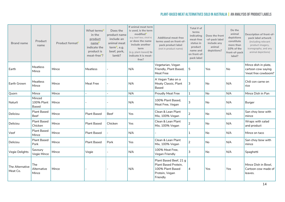| <b>Brand name</b>           | Product<br>name                      | Product format <sup>c</sup> | What terms <sup>D</sup><br>in the<br>product<br>name <sup>L</sup><br>indicate the<br>product is<br>meat-free <sup>F</sup> ? | Does the<br>product name<br>include an<br>animal meat<br>term <sup>G</sup> , e.g.<br>beef, pork,<br>lamb? | If animal meat term<br>is used, is the term<br>modified <sup>H</sup><br>(e.g. beef-less, chick'n)<br>or does the name<br>include another<br>term<br>(e.g. plant-based) to<br>indicate it is meat-<br>free? | <b>Additional meat-free</b><br>terms used on front-of-<br>pack product label<br>(not in product name) | Total # of<br>terms<br>indicating<br>meat-free<br>status in<br>product<br>name and<br>on front-of-<br>pack label | Does the front<br>-of-pack label<br>include any<br>animal<br>depictions? | Do the<br>animal<br>depictions<br>constitute<br>more than<br>10% of the<br>front-of-pack<br>label? | Description of front-of-<br>pack label artwork<br>(including relevant<br>product imagery,<br>iconography, and any<br>animal depictions) |
|-----------------------------|--------------------------------------|-----------------------------|-----------------------------------------------------------------------------------------------------------------------------|-----------------------------------------------------------------------------------------------------------|------------------------------------------------------------------------------------------------------------------------------------------------------------------------------------------------------------|-------------------------------------------------------------------------------------------------------|------------------------------------------------------------------------------------------------------------------|--------------------------------------------------------------------------|----------------------------------------------------------------------------------------------------|-----------------------------------------------------------------------------------------------------------------------------------------|
| Earth                       | Meatless<br>Mince                    | Mince                       | Meatless                                                                                                                    |                                                                                                           | N/A                                                                                                                                                                                                        | Vegetarian, Vegan<br>Friendly, Plant Based,<br>Meat Free                                              | 5                                                                                                                | Yes                                                                      | <b>No</b>                                                                                          | Mince dish in plate,<br>cartoon cow saying<br>'meat free cowboom!'                                                                      |
| Earth Grown                 | Meatless<br>Mince                    | Mince                       | Meat Free                                                                                                                   |                                                                                                           | N/A                                                                                                                                                                                                        | A Vegan Take on a<br>Meaty Classic, Plant<br><b>Based</b>                                             | 3                                                                                                                | No                                                                       | N/A                                                                                                | Chili con carne on<br>rice                                                                                                              |
| Quorn                       | Mince                                | Mince                       |                                                                                                                             |                                                                                                           | N/A                                                                                                                                                                                                        | <b>Proudly Meat Free</b>                                                                              | $\mathbf{1}$                                                                                                     | N <sub>o</sub>                                                           | N/A                                                                                                | Mince Dish in Pan                                                                                                                       |
| Naturli                     | Minced<br>100% Plant<br><b>Based</b> | Mince                       |                                                                                                                             |                                                                                                           | N/A                                                                                                                                                                                                        | 100% Plant Based.<br>Meat Free, Vegan                                                                 | 3                                                                                                                | No                                                                       | N/A                                                                                                | Burger                                                                                                                                  |
| Deliciou                    | <b>Plant Based</b><br><b>Beef</b>    | Mince                       | <b>Plant Based</b>                                                                                                          | Beef                                                                                                      | Yes                                                                                                                                                                                                        | Clean & Lean Plant<br>Mix, 100% Vegan                                                                 | $\overline{2}$                                                                                                   | No                                                                       | N/A                                                                                                | San choy bow with<br>mince                                                                                                              |
| Deliciou                    | <b>Plant Based</b><br>Chicken        | Mince                       | <b>Plant Based</b>                                                                                                          | Chicken                                                                                                   | Yes                                                                                                                                                                                                        | Clean & Lean Plant<br>Mix, 100% Vegan                                                                 | $\overline{2}$                                                                                                   | No                                                                       | N/A                                                                                                | Wraps with salad<br>and product                                                                                                         |
| Veef                        | Plant Based<br>Mince                 | Mince                       | <b>Plant Based</b>                                                                                                          |                                                                                                           | N/A                                                                                                                                                                                                        |                                                                                                       | $\mathbf{1}$                                                                                                     | No                                                                       | N/A                                                                                                | Mince on taco                                                                                                                           |
| Deliciou                    | <b>Plant Based</b><br>Pork           | Mince                       | <b>Plant Based</b>                                                                                                          | Pork                                                                                                      | Yes                                                                                                                                                                                                        | Clean & Lean Plant<br>Mix, 100% Vegan                                                                 | 2                                                                                                                | No                                                                       | N/A                                                                                                | San choy bow with<br>mince                                                                                                              |
| Vegie Delights              | Savoury<br>Vegie Mince               | Mince                       | Vegie                                                                                                                       |                                                                                                           | N/A                                                                                                                                                                                                        | 100% Meat Free,<br>Vegan Friendly                                                                     | 3                                                                                                                | <b>No</b>                                                                | N/A                                                                                                | Spaghetti                                                                                                                               |
| The Alternative<br>Meat Co. | The<br>Alternative<br>Mince          | Mince                       |                                                                                                                             |                                                                                                           | N/A                                                                                                                                                                                                        | Plant Based Beef, 21 g<br>Plant Based Protein,<br>100% Plant Based<br>Protein, Vegan<br>Friendly      | 4                                                                                                                | Yes                                                                      | Yes                                                                                                | Mince Dish in Bowl,<br>Cartoon cow made of<br>leaves.                                                                                   |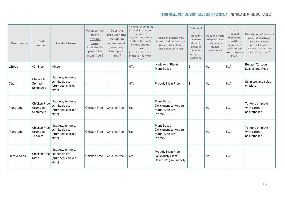| <b>Brand name</b> | Product<br>name                           | Product format <sup>c</sup>                                                     | What terms <sup>D</sup><br>in the<br>product<br>name <sup>E</sup><br>indicate the<br>product is<br>meat-free <sup>F</sup> ? | Does the<br>product name<br>include an<br>animal meat<br>term $6$ , e.g.<br>beef, pork,<br>lamb? | If animal meat term<br>is used, is the term<br>modified <sup>H</sup><br>(e.g. beef-less, chick'n)<br>or does the name<br>include another<br>term<br>(e.g. plant-based) to<br>indicate it is meat-<br>free? | <b>Additional meat-free</b><br>terms used on front-of-<br>pack product label<br>(not in product name) | Total # of<br>terms<br>indicating<br>meat-free<br>status in<br>product<br>name and<br>on front-of-<br>pack label | Does the front<br>-of-pack label<br>include any<br>animal<br>depictions? | Do the<br>animal<br>depictions<br>constitute<br>more than<br>10% of the<br>front-of-pack<br>label? | Description of front-of-<br>pack label artwork<br>(including relevant<br>product imagery,<br>iconography, and any<br>animal depictions) |
|-------------------|-------------------------------------------|---------------------------------------------------------------------------------|-----------------------------------------------------------------------------------------------------------------------------|--------------------------------------------------------------------------------------------------|------------------------------------------------------------------------------------------------------------------------------------------------------------------------------------------------------------|-------------------------------------------------------------------------------------------------------|------------------------------------------------------------------------------------------------------------------|--------------------------------------------------------------------------|----------------------------------------------------------------------------------------------------|-----------------------------------------------------------------------------------------------------------------------------------------|
| v2food            | v2mince                                   | Mince                                                                           |                                                                                                                             |                                                                                                  | N/A                                                                                                                                                                                                        | Made with Plants,<br><b>Plant Based</b>                                                               | $\overline{2}$                                                                                                   | No                                                                       | N/A                                                                                                | Burger. Cartoon<br>Leaves and Peas                                                                                                      |
| Quorn             | Cheese &<br>Spinach<br>Schnitzels         | Nuggets/tenders/<br>schnitzels etc<br>(crumbed, chicken-<br>style)              |                                                                                                                             |                                                                                                  | N/A                                                                                                                                                                                                        | <b>Proudly Meat Free</b>                                                                              | 1                                                                                                                | l No                                                                     | N/A                                                                                                | Schnitzel and salad<br>on plate                                                                                                         |
| Plantitude        | Chicken Free<br>Crumbed<br>Schnitzels     | Nuggets/tenders/<br>schnitzels etc<br>(crumbed, chicken-<br>style)              | <b>Chicken Free</b>                                                                                                         | Chicken free                                                                                     | Yes                                                                                                                                                                                                        | <b>Plant Based</b><br>Deliciousness, Vegan,<br>Made With Soy<br>Protein                               | $\overline{4}$                                                                                                   | No                                                                       | N/A                                                                                                | Tenders on plate<br>with cartoon<br>basketballer                                                                                        |
| Plantitude        | Chicken Free<br>Crumbed<br><b>Tenders</b> | Nuggets/tenders/<br>schnitzels etc<br>(crumbed, chicken-<br>style)              | <b>Chicken Free</b>                                                                                                         | Chicken free                                                                                     | Yes                                                                                                                                                                                                        | <b>Plant Based</b><br>Deliciousness, Vegan,<br>Made With Soy<br>Protein                               | 4                                                                                                                | No                                                                       | N/A                                                                                                | Tenders on plate<br>with cartoon<br>basketballer                                                                                        |
| Herb & Sons       | Kievs                                     | Nuggets/tenders/<br>Chicken Free schnitzels etc<br>(crumbed, chicken-<br>style) | <b>Chicken Free</b>                                                                                                         | Chicken free                                                                                     | Yes                                                                                                                                                                                                        | Proudly Meat Free,<br>Deliciously Plant-<br>Based, Vegan Friendly                                     | $\overline{4}$                                                                                                   | No                                                                       | N/A                                                                                                |                                                                                                                                         |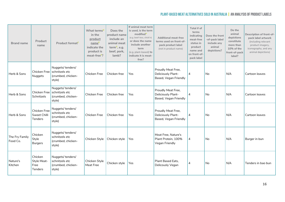| <b>Brand name</b>          | Product<br>name                                  | Product format <sup>c</sup>                                                     | What terms <sup>D</sup><br>in the<br>product<br>name <sup>E</sup><br>indicate the<br>product is<br>meat-free <sup>F</sup> ? | Does the<br>product name<br>include an<br>animal meat<br>term <sup>G</sup> , e.g.<br>beef, pork,<br>lamb? | If animal meat term<br>is used, is the term<br>modified <sup>H</sup><br>(e.g. beef-less, chick'n)<br>or does the name<br>include another<br>term<br>(e.g. plant-based) to<br>indicate it is meat-<br>free? | <b>Additional meat-free</b><br>terms used on front-of-<br>pack product label<br>(not in product name) | Total # of<br>terms<br>indicating<br>meat-free<br>status in<br>product<br>name and<br>on front-of-<br>pack label | Does the front<br>-of-pack label<br>include any<br>animal<br>depictions? | Do the<br>animal<br>depictions<br>constitute<br>more than<br>10% of the<br>front-of-pack<br>label? | Description of front-of-<br>pack label artwork<br>(including relevant<br>product imagery,<br>iconography, and any<br>animal depictions) |
|----------------------------|--------------------------------------------------|---------------------------------------------------------------------------------|-----------------------------------------------------------------------------------------------------------------------------|-----------------------------------------------------------------------------------------------------------|------------------------------------------------------------------------------------------------------------------------------------------------------------------------------------------------------------|-------------------------------------------------------------------------------------------------------|------------------------------------------------------------------------------------------------------------------|--------------------------------------------------------------------------|----------------------------------------------------------------------------------------------------|-----------------------------------------------------------------------------------------------------------------------------------------|
| Herb & Sons                | Nuggets                                          | Nuggets/tenders/<br>Chicken Free schnitzels etc<br>(crumbed, chicken-<br>style) | Chicken Free                                                                                                                | Chicken free                                                                                              | Yes                                                                                                                                                                                                        | Proudly Meat Free,<br>Deliciously Plant-<br>Based, Vegan Friendly                                     | $\overline{4}$                                                                                                   | No                                                                       | N/A                                                                                                | Cartoon leaves                                                                                                                          |
| Herb & Sons                | Chicken Free<br>Schnitzels                       | Nuggets/tenders/<br>schnitzels etc<br>(crumbed, chicken-<br>style)              | Chicken Free                                                                                                                | Chicken free                                                                                              | Yes                                                                                                                                                                                                        | Proudly Meat Free,<br>Deliciously Plant-<br>Based, Vegan Friendly                                     | $\overline{4}$                                                                                                   | No                                                                       | N/A                                                                                                | Cartoon leaves                                                                                                                          |
| Herb & Sons                | Chicken Free<br>Sweet Chilli<br><b>Tenders</b>   | Nuggets/tenders/<br>schnitzels etc<br>(crumbed, chicken-<br>style)              | Chicken Free                                                                                                                | Chicken free                                                                                              | Yes                                                                                                                                                                                                        | Proudly Meat Free,<br>Deliciously Plant-<br>Based, Vegan Friendly                                     | 4                                                                                                                | No                                                                       | N/A                                                                                                | Cartoon leaves                                                                                                                          |
| The Fry Family<br>Food Co. | Chicken<br>Style<br><b>Burgers</b>               | Nuggets/tenders/<br>schnitzels etc<br>(crumbed, chicken-<br>style)              | Chicken Style                                                                                                               | Chicken style                                                                                             | Yes                                                                                                                                                                                                        | Meat Free, Nature's<br>Plant Protein, 100%<br>Vegan Friendly                                          | $\overline{4}$                                                                                                   | <b>No</b>                                                                | N/A                                                                                                | Burger in bun                                                                                                                           |
| Nature's<br>Kitchen        | Chicken<br>Style Meat-<br>Free<br><b>Tenders</b> | Nuggets/tenders/<br>schnitzels etc<br>(crumbed, chicken-<br>style)              | Chicken Style<br>Meat Free                                                                                                  | Chicken style                                                                                             | Yes                                                                                                                                                                                                        | Plant Based Eats,<br>Delicously Vegan                                                                 | 4                                                                                                                | No.                                                                      | N/A                                                                                                | Tenders in bao bun                                                                                                                      |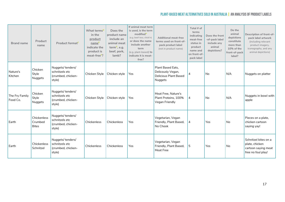| <b>Brand name</b>          | Product<br>name                        | Product format <sup>c</sup>                                        | What terms <sup>D</sup><br>in the<br>product<br>nameE<br>indicate the<br>product is<br>meat-free <sup>F</sup> ? | Does the<br>product name<br>include an<br>animal meat<br>term $6$ , e.g.<br>beef, pork,<br>lamb? | If animal meat term<br>is used, is the term<br>modified<br>(e.g. beef-less, chick'n)<br>or does the name<br>include another<br>term<br>(e.g. plant-based) to<br>indicate it is meat-<br>free? | <b>Additional meat-free</b><br>terms used on front-of-<br>pack product label<br>(not in product name) | Total # of<br>terms<br>indicating<br>meat-free<br>status in<br>product<br>name and<br>on front-of-<br>pack label | Does the front<br>-of-pack label<br>include any<br>animal<br>depictions? | Do the<br>animal<br>depictions<br>constitute<br>more than<br>10% of the<br>front-of-pack<br>label? | Description of front-of-<br>pack label artwork<br>(including relevant<br>product imagery,<br>iconography, and any<br>animal depictions) |
|----------------------------|----------------------------------------|--------------------------------------------------------------------|-----------------------------------------------------------------------------------------------------------------|--------------------------------------------------------------------------------------------------|-----------------------------------------------------------------------------------------------------------------------------------------------------------------------------------------------|-------------------------------------------------------------------------------------------------------|------------------------------------------------------------------------------------------------------------------|--------------------------------------------------------------------------|----------------------------------------------------------------------------------------------------|-----------------------------------------------------------------------------------------------------------------------------------------|
| Nature's<br>Kitchen        | Chicken<br>Style<br>Nuggets            | Nuggets/tenders/<br>schnitzels etc<br>(crumbed, chicken-<br>style) | Chicken Style                                                                                                   | Chicken style                                                                                    | Yes                                                                                                                                                                                           | Plant Based Eats,<br>Delicously Vegan,<br><b>Delicious Plant Based</b><br>Nuggets                     | 4                                                                                                                | No                                                                       | N/A                                                                                                | Nuggets on platter                                                                                                                      |
| The Fry Family<br>Food Co. | Chicken<br>Style<br>Nuggets            | Nuggets/tenders/<br>schnitzels etc<br>(crumbed, chicken-<br>style) | Chicken Style                                                                                                   | Chicken style                                                                                    | Yes                                                                                                                                                                                           | Meat Free, Nature's<br>Plant Proteins, 100%<br>Vegan Friendly                                         | $\overline{4}$                                                                                                   | No                                                                       | N/A                                                                                                | Nuggets in bowl with<br>apple                                                                                                           |
| Earth                      | Chickenless<br>Crumbed<br><b>Bites</b> | Nuggets/tenders/<br>schnitzels etc<br>(crumbed, chicken-<br>style) | Chickenless                                                                                                     | Chickenless                                                                                      | <b>Yes</b>                                                                                                                                                                                    | Vegetarian, Vegan<br>Friendly, Plant Based,<br>No Chook                                               | $\vert 4$                                                                                                        | Yes                                                                      | <b>No</b>                                                                                          | Pieces on a plate,<br>chicken cartoon<br>saying yay!                                                                                    |
| Earth                      | Chickenless<br>Schnitzel               | Nuggets/tenders/<br>schnitzels etc<br>(crumbed, chicken-<br>style) | Chickenless                                                                                                     | Chickenless                                                                                      | Yes                                                                                                                                                                                           | Vegetarian, Vegan<br>Friendly, Plant Based,<br><b>Meat Free</b>                                       | 5                                                                                                                | Yes                                                                      | <b>No</b>                                                                                          | Schnitzel bites on a<br>plate, chicken<br>cartoon saying meat<br>free no foul play!                                                     |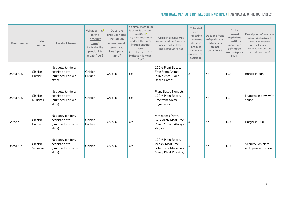| <b>Brand name</b> | Product<br>name           | Product format <sup>c</sup>                                        | What terms <sup>D</sup><br>in the<br>product<br>nameE<br>indicate the<br>product is<br>meat-free <sup>F</sup> ? | Does the<br>product name<br>include an<br>animal meat<br>term $6$ , e.g.<br>beef, pork,<br>lamb? | If animal meat term<br>is used, is the term<br>modified <sup>H</sup><br>(e.g. beef-less, chick'n)<br>or does the name<br>include another<br>term<br>(e.g. plant-based) to<br>indicate it is meat-<br>free? | <b>Additional meat-free</b><br>terms used on front-of-<br>pack product label<br>(not in product name) | Total # of<br>terms<br>indicating<br>meat-free<br>status in<br>product<br>name and<br>on front-of-<br>pack label | Does the front<br>-of-pack label<br>include any<br>animal<br>depictions? | Do the<br>animal<br>depictions<br>constitute<br>more than<br>10% of the<br>front-of-pack<br>label? | Description of front-of-<br>pack label artwork<br>(including relevant<br>product imagery,<br>iconography, and any<br>animal depictions) |
|-------------------|---------------------------|--------------------------------------------------------------------|-----------------------------------------------------------------------------------------------------------------|--------------------------------------------------------------------------------------------------|------------------------------------------------------------------------------------------------------------------------------------------------------------------------------------------------------------|-------------------------------------------------------------------------------------------------------|------------------------------------------------------------------------------------------------------------------|--------------------------------------------------------------------------|----------------------------------------------------------------------------------------------------|-----------------------------------------------------------------------------------------------------------------------------------------|
| Unreal Co.        | Chick'n<br>Burger         | Nuggets/tenders/<br>schnitzels etc<br>(crumbed, chicken-<br>style) | Chick'n<br>Burger                                                                                               | Chick'n                                                                                          | Yes                                                                                                                                                                                                        | 100% Plant Based.<br><b>Free From Animal</b><br>Ingredients, Plant-<br><b>Based Patties</b>           | 3                                                                                                                | No                                                                       | N/A                                                                                                | Burger in bun                                                                                                                           |
| Unreal Co.        | Chick'n<br><b>Nuggets</b> | Nuggets/tenders/<br>schnitzels etc<br>(crumbed, chicken-<br>style) | Chick'n                                                                                                         | Chick'n                                                                                          | Yes                                                                                                                                                                                                        | Plant Based Nuggets,<br>100% Plant Based,<br>Free from Animal<br>Ingredients                          | 3                                                                                                                | N <sub>o</sub>                                                           | N/A                                                                                                | Nuggets in bowl with<br>sauce                                                                                                           |
| Gardein           | Chick'n<br>Patties        | Nuggets/tenders/<br>schnitzels etc<br>(crumbed, chicken-<br>style) | Chick'n<br>Patties                                                                                              | Chick'n                                                                                          | Yes                                                                                                                                                                                                        | A Meatless Patty,<br>Deliciously Meat Free,<br>Plant Protein, Always<br>Vegan                         | 4                                                                                                                | No                                                                       | N/A                                                                                                | Burger in Bun                                                                                                                           |
| Unreal Co.        | Chick'n<br>Schnitzel      | Nuggets/tenders/<br>schnitzels etc<br>(crumbed, chicken-<br>style) | Chick'n                                                                                                         | Chick'n                                                                                          | Yes                                                                                                                                                                                                        | 100% Plant Based.<br>Vegan, Meat Free<br>Schnitzels, Made From<br>Meaty Plant Proteins,               | 4                                                                                                                | No                                                                       | N/A                                                                                                | Schnitzel on plate<br>with peas and chips                                                                                               |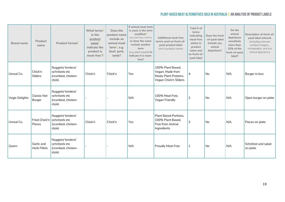| <b>Brand name</b> | Product<br>name                   | Product format <sup>c</sup>                                        | What terms <sup>D</sup><br>in the<br>product<br>nameE<br>indicate the<br>product is<br>meat-free <sup>F</sup> ? | Does the<br>product name<br>include an<br>animal meat<br>term <sup>G</sup> , e.g.<br>beef, pork,<br>lamb? | If animal meat term<br>is used, is the term<br>modified <sup>H</sup><br>(e.g. beef-less, chick'n)<br>or does the name<br>include another<br>term<br>(e.g. plant-based) to<br>indicate it is meat-<br>free? | <b>Additional meat-free</b><br>terms used on front-of-<br>pack product label<br>(not in product name) | Total # of<br>terms<br>indicating<br>meat-free<br>status in<br>product<br>name and<br>on front-of-<br>pack label | Does the front<br>-of-pack label<br>include any<br>animal<br>depictions? | Do the<br>animal<br>depictions<br>constitute<br>more than<br>10% of the<br>front-of-pack<br>label? | Description of front-of-<br>pack label artwork<br>(including relevant<br>product imagery,<br>iconography, and any<br>animal depictions) |
|-------------------|-----------------------------------|--------------------------------------------------------------------|-----------------------------------------------------------------------------------------------------------------|-----------------------------------------------------------------------------------------------------------|------------------------------------------------------------------------------------------------------------------------------------------------------------------------------------------------------------|-------------------------------------------------------------------------------------------------------|------------------------------------------------------------------------------------------------------------------|--------------------------------------------------------------------------|----------------------------------------------------------------------------------------------------|-----------------------------------------------------------------------------------------------------------------------------------------|
| Unreal Co.        | Chick'n<br>Sliders                | Nuggets/tenders/<br>schnitzels etc<br>(crumbed, chicken-<br>style) | Chick'n                                                                                                         | Chick'n                                                                                                   | Yes                                                                                                                                                                                                        | 100% Plant Based,<br>Vegan, Made from<br>Meaty Plant Proteins,<br>Vegan Chick'n Sliders               | 4                                                                                                                | No                                                                       | N/A                                                                                                | Burger in bun                                                                                                                           |
| Vegie Delights    | Classic Not<br>Burger             | Nuggets/tenders/<br>schnitzels etc<br>(crumbed, chicken-<br>style) |                                                                                                                 |                                                                                                           | N/A                                                                                                                                                                                                        | 100% Meat Free,<br>Vegan Friendly                                                                     | 2                                                                                                                | No                                                                       | N/A                                                                                                | Open burger on plate                                                                                                                    |
| Unreal Co.        | Fried Chick'n<br>Pieces           | Nuggets/tenders/<br>schnitzels etc<br>(crumbed, chicken-<br>style) | Chick'n                                                                                                         | Chick'n                                                                                                   | Yes                                                                                                                                                                                                        | Plant Based Portions,<br>100% Plant Based,<br>Free from Animal<br>Ingredients                         | 3                                                                                                                | <b>No</b>                                                                | N/A                                                                                                | Pieces on plate                                                                                                                         |
| Quorn             | Garlic and<br><b>Herb Fillets</b> | Nuggets/tenders/<br>schnitzels etc<br>(crumbed, chicken-<br>style) |                                                                                                                 |                                                                                                           | N/A                                                                                                                                                                                                        | <b>Proudly Meat Free</b>                                                                              | 1                                                                                                                | No                                                                       | N/A                                                                                                | Schnitzel and salad<br>on plate                                                                                                         |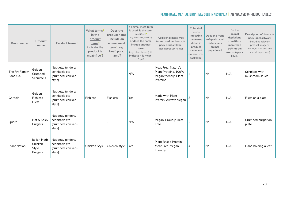| <b>Brand name</b>          | Product<br>name                                    | Product format <sup>c</sup>                                        | What terms <sup>D</sup><br>in the<br>product<br>name <sup>E</sup><br>indicate the<br>product is<br>meat-free <sup>F</sup> ? | Does the<br>product name<br>include an<br>animal meat<br>term <sup>G</sup> , e.g.<br>beef, pork,<br>lamb? | If animal meat term<br>is used, is the term<br>modified <sup>H</sup><br>(e.g. beef-less, chick'n)<br>or does the name<br>include another<br>term<br>(e.g. plant-based) to<br>indicate it is meat-<br>free? | <b>Additional meat-free</b><br>terms used on front-of-<br>pack product label<br>(not in product name) | Total # of<br>terms<br>indicating<br>meat-free<br>status in<br>product<br>name and<br>on front-of-<br>pack label | Does the front<br>-of-pack label<br>include any<br>animal<br>depictions? | Do the<br>animal<br>depictions<br>constitute<br>more than<br>10% of the<br>front-of-pack<br>label? | Description of front-of-<br>pack label artwork<br>(including relevant<br>product imagery,<br>iconography, and any<br>animal depictions) |
|----------------------------|----------------------------------------------------|--------------------------------------------------------------------|-----------------------------------------------------------------------------------------------------------------------------|-----------------------------------------------------------------------------------------------------------|------------------------------------------------------------------------------------------------------------------------------------------------------------------------------------------------------------|-------------------------------------------------------------------------------------------------------|------------------------------------------------------------------------------------------------------------------|--------------------------------------------------------------------------|----------------------------------------------------------------------------------------------------|-----------------------------------------------------------------------------------------------------------------------------------------|
| The Fry Family<br>Food Co. | Golden<br>Crumbed<br>Schnitzels                    | Nuggets/tenders/<br>schnitzels etc<br>(crumbed, chicken-<br>style) |                                                                                                                             |                                                                                                           | N/A                                                                                                                                                                                                        | Meat Free, Nature's<br>Plant Proteins, 100%<br>Vegan friendly, Plant<br>Proteins                      |                                                                                                                  | No                                                                       | N/A                                                                                                | Schnitzel with<br>mushroom sauce                                                                                                        |
| Gardein                    | Golden<br><b>Fishless</b><br><b>Filets</b>         | Nuggets/tenders/<br>schnitzels etc<br>(crumbed, chicken-<br>style) | Fishless                                                                                                                    | Fishless                                                                                                  | Yes                                                                                                                                                                                                        | Made with Plant<br>Protein, Always Vegan                                                              | 3                                                                                                                | No                                                                       | N/A                                                                                                | Filets on a plate                                                                                                                       |
| Quorn                      | Hot & Spicy<br><b>Burgers</b>                      | Nuggets/tenders/<br>schnitzels etc<br>(crumbed, chicken-<br>style) |                                                                                                                             |                                                                                                           | N/A                                                                                                                                                                                                        | Vegan, Proudly Meat<br>Free                                                                           | 2                                                                                                                | No                                                                       | N/A                                                                                                | Crumbed burger on<br>plate                                                                                                              |
| <b>Plant Nation</b>        | Italian Herb<br>Chicken<br>Style<br><b>Burgers</b> | Nuggets/tenders/<br>schnitzels etc<br>(crumbed, chicken-<br>style) | Chicken Style                                                                                                               | Chicken style                                                                                             | Yes                                                                                                                                                                                                        | Plant Based Protein,<br>Meat Free, Vegan<br>Friendly                                                  | 4                                                                                                                | No                                                                       | N/A                                                                                                | Hand holding a leaf                                                                                                                     |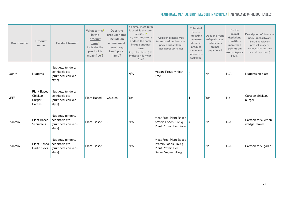| <b>Brand name</b> | Product<br>name                                    | Product format <sup>c</sup>                                        | What terms <sup>D</sup><br>in the<br>product<br>nameE<br>indicate the<br>product is<br>meat-free <sup>F</sup> ? | Does the<br>product name<br>include an<br>animal meat<br>term <sup>G</sup> , e.g.<br>beef, pork,<br>lamb? | If animal meat term<br>is used, is the term<br>modified<br>(e.g. beef-less, chick'n)<br>or does the name<br>include another<br>term<br>(e.g. plant-based) to<br>indicate it is meat-<br>free? | <b>Additional meat-free</b><br>terms used on front-of-<br>pack product label<br>(not in product name) | Total # of<br>terms<br>indicating<br>meat-free<br>status in<br>product<br>name and<br>on front-of-<br>pack label | Does the front<br>-of-pack label<br>include any<br>animal<br>depictions? | Do the<br>animal<br>depictions<br>constitute<br>more than<br>10% of the<br>front-of-pack<br>label? | Description of front-of-<br>pack label artwork<br>(including relevant<br>product imagery,<br>iconography, and any<br>animal depictions) |
|-------------------|----------------------------------------------------|--------------------------------------------------------------------|-----------------------------------------------------------------------------------------------------------------|-----------------------------------------------------------------------------------------------------------|-----------------------------------------------------------------------------------------------------------------------------------------------------------------------------------------------|-------------------------------------------------------------------------------------------------------|------------------------------------------------------------------------------------------------------------------|--------------------------------------------------------------------------|----------------------------------------------------------------------------------------------------|-----------------------------------------------------------------------------------------------------------------------------------------|
| Quorn             | Nuggets                                            | Nuggets/tenders/<br>schnitzels etc<br>(crumbed, chicken-<br>style) |                                                                                                                 |                                                                                                           | N/A                                                                                                                                                                                           | Vegan, Proudly Meat<br>Free                                                                           | $\overline{2}$                                                                                                   | <b>No</b>                                                                | N/A                                                                                                | Nuggets on plate                                                                                                                        |
| vEEF              | <b>Plant Based</b><br>Chicken<br>Burger<br>Patties | Nuggets/tenders/<br>schnitzels etc<br>(crumbed, chicken-<br>style) | <b>Plant Based</b>                                                                                              | Chicken                                                                                                   | Yes                                                                                                                                                                                           |                                                                                                       | -1                                                                                                               | <b>Yes</b>                                                               | <b>No</b>                                                                                          | Cartoon chicken,<br>burger                                                                                                              |
| Plantein          | <b>Plant Based</b><br>Schnitzels                   | Nuggets/tenders/<br>schnitzels etc<br>(crumbed, chicken-<br>style) | Plant-Based                                                                                                     |                                                                                                           | N/A                                                                                                                                                                                           | Meat Free, Plant Based<br>protein Foods, 16.9g<br>Plant Protein Per Serve                             | $\overline{4}$                                                                                                   | No                                                                       | N/A                                                                                                | Cartoon fork, lemon<br>wedge, leaves                                                                                                    |
| Plantein          | Plant-Based<br><b>Garlic Kievs</b>                 | Nuggets/tenders/<br>schnitzels etc<br>(crumbed, chicken-<br>style) | Plant-Based                                                                                                     |                                                                                                           | N/A                                                                                                                                                                                           | Meat Free, Plant Based<br>Protein Foods, 16.4g<br>Plant Protein Per<br>Serve, Vegan Filling           | 5                                                                                                                | No                                                                       | N/A                                                                                                | Cartoon fork, garlic                                                                                                                    |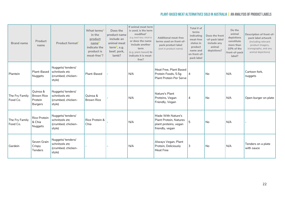| <b>Brand name</b>          | Product<br>name                                            | Product format <sup>c</sup>                                        | What terms <sup>D</sup><br>in the<br>product<br>name <sup>E</sup><br>indicate the<br>product is<br>meat-free <sup>F</sup> ? | Does the<br>product name<br>include an<br>animal meat<br>term <sup>G</sup> , e.g.<br>beef, pork,<br>lamb? | If animal meat term<br>is used, is the term<br>modified <sup>H</sup><br>(e.g. beef-less, chick'n)<br>or does the name<br>include another<br>term<br>(e.g. plant-based) to<br>indicate it is meat-<br>free? | <b>Additional meat-free</b><br>terms used on front-of-<br>pack product label<br>(not in product name) | Total # of<br>terms<br>indicating<br>meat-free<br>status in<br>product<br>name and<br>on front-of-<br>pack label | Does the front<br>-of-pack label<br>include any<br>animal<br>depictions? | Do the<br>animal<br>depictions<br>constitute<br>more than<br>10% of the<br>front-of-pack<br>label? | Description of front-of-<br>pack label artwork<br>(including relevant<br>product imagery,<br>iconography, and any<br>animal depictions) |
|----------------------------|------------------------------------------------------------|--------------------------------------------------------------------|-----------------------------------------------------------------------------------------------------------------------------|-----------------------------------------------------------------------------------------------------------|------------------------------------------------------------------------------------------------------------------------------------------------------------------------------------------------------------|-------------------------------------------------------------------------------------------------------|------------------------------------------------------------------------------------------------------------------|--------------------------------------------------------------------------|----------------------------------------------------------------------------------------------------|-----------------------------------------------------------------------------------------------------------------------------------------|
| Plantein                   | Plant-Based<br>Nuggets                                     | Nuggets/tenders/<br>schnitzels etc<br>(crumbed, chicken-<br>style) | Plant-Based                                                                                                                 |                                                                                                           | N/A                                                                                                                                                                                                        | Meat Free, Plant Based<br>Protein Foods, 5.5g<br><b>Plant Protein Per Serve</b>                       | <sup>4</sup>                                                                                                     | No                                                                       | N/A                                                                                                | Cartoon fork,<br>nuggets                                                                                                                |
| The Fry Family<br>Food Co. | Quinoa &<br><b>Brown Rice</b><br>Protein<br><b>Burgers</b> | Nuggets/tenders/<br>schnitzels etc<br>(crumbed, chicken-<br>style) | Quinoa &<br><b>Brown Rice</b>                                                                                               |                                                                                                           | N/A                                                                                                                                                                                                        | Nature's Plant<br>Proteins, Vegan<br>Friendly, Vegan                                                  | 4                                                                                                                | <b>No</b>                                                                | N/A                                                                                                | Open burger on plate                                                                                                                    |
| The Fry Family<br>Food Co. | Rice Protein<br>& Chia<br>Nuggets                          | Nuggets/tenders/<br>schnitzels etc<br>(crumbed, chicken-<br>style) | Rice Protein &<br>Chia                                                                                                      |                                                                                                           | N/A                                                                                                                                                                                                        | Made With Nature's<br>Plant Protein, Natures<br>plant proteins, vegan<br>friendly, vegan              | 5                                                                                                                | <b>No</b>                                                                | N/A                                                                                                |                                                                                                                                         |
| Gardein                    | Seven Grain<br>Crispy<br><b>Tenders</b>                    | Nuggets/tenders/<br>schnitzels etc<br>(crumbed, chicken-<br>style) |                                                                                                                             |                                                                                                           | N/A                                                                                                                                                                                                        | Always Vegan, Plant<br>Protein, Deliciously<br><b>Meat Free</b>                                       | 3                                                                                                                | No.                                                                      | N/A                                                                                                | Tenders on a plate<br>with sauce                                                                                                        |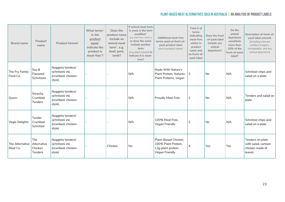| <b>Brand name</b>           | Product<br>name                                        | Product format <sup>c</sup>                                        | What terms <sup>D</sup><br>in the<br>product<br>name <sup>E</sup><br>indicate the<br>product is<br>meat-free <sup>F</sup> ? | Does the<br>product name<br>include an<br>animal meat<br>term <sup>G</sup> , e.g.<br>beef, pork,<br>lamb? | If animal meat term<br>is used, is the term<br>modifiedh<br>(e.g. beef-less, chick'n)<br>or does the name<br>include another<br>term<br>(e.g. plant-based) to<br>indicate it is meat-<br>free? | <b>Additional meat-free</b><br>terms used on front-of-<br>pack product label<br>(not in product name) | Total # of<br>terms<br>indicating<br>meat-free<br>status in<br>product<br>name and<br>on front-of-<br>pack label | Does the front<br>-of-pack label<br>include any<br>animal<br>depictions? | Do the<br>animal<br>depictions<br>constitute<br>more than<br>10% of the<br>front-of-pack<br>label? | Description of front-of-<br>pack label artwork<br>(including relevant<br>product imagery,<br>iconography, and any<br>animal depictions) |
|-----------------------------|--------------------------------------------------------|--------------------------------------------------------------------|-----------------------------------------------------------------------------------------------------------------------------|-----------------------------------------------------------------------------------------------------------|------------------------------------------------------------------------------------------------------------------------------------------------------------------------------------------------|-------------------------------------------------------------------------------------------------------|------------------------------------------------------------------------------------------------------------------|--------------------------------------------------------------------------|----------------------------------------------------------------------------------------------------|-----------------------------------------------------------------------------------------------------------------------------------------|
| The Fry Family<br>Food Co.  | Soy &<br>Flaxseed<br>Schnitzels                        | Nuggets/tenders/<br>schnitzels etc<br>(crumbed, chicken-<br>style) |                                                                                                                             |                                                                                                           | N/A                                                                                                                                                                                            | Made With Nature's<br>Plant Protein, Natures<br>Plant Proteins, Vegan                                 | <u>  3</u>                                                                                                       | No                                                                       | N/A                                                                                                | Schnitzel chips and<br>salad on a plate                                                                                                 |
| Quorn                       | Sriracha<br>Crumbed<br>Tenders                         | Nuggets/tenders/<br>schnitzels etc<br>(crumbed, chicken-<br>style) |                                                                                                                             |                                                                                                           | N/A                                                                                                                                                                                            | <b>Proudly Meat Free</b>                                                                              | 1                                                                                                                | N <sub>o</sub>                                                           | N/A                                                                                                | Tenders and salad on<br>plate                                                                                                           |
| Vegie Delights              | Tender<br>Crumbed<br>Schnitzel                         | Nuggets/tenders/<br>schnitzels etc<br>(crumbed, chicken-<br>style) |                                                                                                                             |                                                                                                           | N/A                                                                                                                                                                                            | 100% Meat Free,<br>Vegan Friendly                                                                     | $\overline{2}$                                                                                                   | No                                                                       | N/A                                                                                                | Schnitzel chips and<br>salad on a plate                                                                                                 |
| The Alternative<br>Meat Co. | <b>The</b><br>Alternative<br>Chicken<br><b>Tenders</b> | Nuggets/tenders/<br>schnitzels etc<br>(crumbed, chicken-<br>style) |                                                                                                                             | Chicken                                                                                                   | <b>No</b>                                                                                                                                                                                      | Plant-Based Chicken.<br>100% Plant Protein.<br>13g plant protein,<br>Vegan Friendly                   | 4                                                                                                                | Yes                                                                      | Yes                                                                                                | Tenders on plate<br>with salad, cartoon<br>chicken made of<br>leaves                                                                    |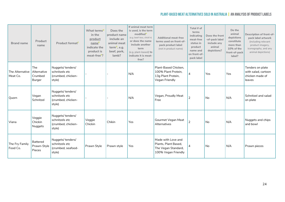| <b>Brand name</b>           | Product<br>name                                | Product format <sup>c</sup>                                        | What terms <sup>D</sup><br>in the<br>product<br>name <sup>E</sup><br>indicate the<br>product is<br>meat-free <sup>F</sup> ? | Does the<br>product name<br>include an<br>animal meat<br>term <sup>G</sup> , e.g.<br>beef, pork,<br>lamb? | If animal meat term<br>is used, is the term<br>modified <sup>H</sup><br>(e.g. beef-less, chick'n)<br>or does the name<br>include another<br>term<br>(e.g. plant-based) to<br>indicate it is meat-<br>free? | <b>Additional meat-free</b><br>terms used on front-of-<br>pack product label<br>(not in product name) | Total # of<br>terms<br>indicating<br>meat-free<br>status in<br>product<br>name and<br>on front-of-<br>pack label | Does the front<br>-of-pack label<br>include any<br>animal<br>depictions? | Do the<br>animal<br>depictions<br>constitute<br>more than<br>10% of the<br>front-of-pack<br>label? | Description of front-of-<br>pack label artwork<br>(including relevant<br>product imagery,<br>iconography, and any<br>animal depictions) |
|-----------------------------|------------------------------------------------|--------------------------------------------------------------------|-----------------------------------------------------------------------------------------------------------------------------|-----------------------------------------------------------------------------------------------------------|------------------------------------------------------------------------------------------------------------------------------------------------------------------------------------------------------------|-------------------------------------------------------------------------------------------------------|------------------------------------------------------------------------------------------------------------------|--------------------------------------------------------------------------|----------------------------------------------------------------------------------------------------|-----------------------------------------------------------------------------------------------------------------------------------------|
| The Alternative<br>Meat Co. | <b>The</b><br>Alternative<br>Crumbed<br>Burger | Nuggets/tenders/<br>schnitzels etc<br>(crumbed, chicken-<br>style) |                                                                                                                             |                                                                                                           | N/A                                                                                                                                                                                                        | Plant-Based Chicken,<br>100% Plant Protein.<br>13g Plant Protein,<br>Vegan Friendly                   | 4                                                                                                                | Yes                                                                      | Yes                                                                                                | Tenders on plate<br>with salad, cartoon<br>chicken made of<br>leaves                                                                    |
| Quorn                       | Vegan<br>Schnitzel                             | Nuggets/tenders/<br>schnitzels etc<br>(crumbed, chicken-<br>style) |                                                                                                                             |                                                                                                           | N/A                                                                                                                                                                                                        | Vegan, Proudly Meat<br>Free                                                                           | $\overline{2}$                                                                                                   | <b>No</b>                                                                | N/A                                                                                                | Schnitzel and salad<br>on plate                                                                                                         |
| Viana                       | Veggie<br>Chickin<br>Nuggets                   | Nuggets/tenders/<br>schnitzels etc<br>(crumbed, chicken-<br>style) | Veggie<br>Chickin                                                                                                           | Chikin                                                                                                    | Yes                                                                                                                                                                                                        | Gourmet Vegan Meat<br>Alternatives                                                                    | 2                                                                                                                | <b>No</b>                                                                | N/A                                                                                                | Nuggets and chips<br>and bowl                                                                                                           |
| The Fry Family<br>Food Co.  | <b>Battered</b><br>Prawn-Style<br>Pieces       | Nuggets/tenders/<br>schnitzels etc<br>(crumbed, seafood-<br>style) | Prawn Style                                                                                                                 | Prawn style                                                                                               | Yes                                                                                                                                                                                                        | Made with Love and<br>Plants, Plant Based,<br>The Vegan Standard,<br>100% Vegan Friendly              | 4                                                                                                                | <b>No</b>                                                                | N/A                                                                                                | Prawn pieces                                                                                                                            |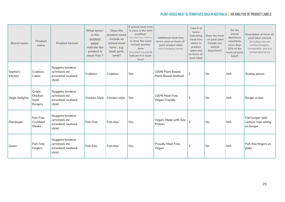| <b>Brand name</b>   | Product<br>name                               | Product format <sup>c</sup>                                        | What terms <sup>D</sup><br>in the<br>product<br>nameE<br>indicate the<br>product is<br>meat-free <sup>F</sup> ? | Does the<br>product name<br>include an<br>animal meat<br>term <sup>G</sup> , e.g.<br>beef, pork,<br>lamb? | If animal meat term<br>is used, is the term<br>modified <sup>H</sup><br>(e.g. beef-less, chick'n)<br>or does the name<br>include another<br>term<br>(e.g. plant-based) to<br>indicate it is meat-<br>free? | <b>Additional meat-free</b><br>terms used on front-of-<br>pack product label<br>(not in product name) | Total # of<br>terms<br>indicating<br>meat-free<br>status in<br>product<br>name and<br>on front-of-<br>pack label | Does the front<br>-of-pack label<br>include any<br>animal<br>depictions? | Do the<br>animal<br>depictions<br>constitute<br>more than<br>10% of the<br>front-of-pack<br>label? | Description of front-of-<br>pack label artwork<br>(including relevant<br>product imagery,<br>iconography, and any<br>animal depictions) |
|---------------------|-----------------------------------------------|--------------------------------------------------------------------|-----------------------------------------------------------------------------------------------------------------|-----------------------------------------------------------------------------------------------------------|------------------------------------------------------------------------------------------------------------------------------------------------------------------------------------------------------------|-------------------------------------------------------------------------------------------------------|------------------------------------------------------------------------------------------------------------------|--------------------------------------------------------------------------|----------------------------------------------------------------------------------------------------|-----------------------------------------------------------------------------------------------------------------------------------------|
| Sophie's<br>Kitchen | Crabless<br>Cakes                             | Nuggets/tenders/<br>schnitzels etc<br>(crumbed, seafood-<br>style) | Crabless                                                                                                        | Crabless                                                                                                  | Yes                                                                                                                                                                                                        | 100% Plant Based.<br><b>Plant-Based Seafood</b>                                                       | $\overline{2}$                                                                                                   | No                                                                       | N/A                                                                                                | Scallop pieces                                                                                                                          |
| Vegie Delights      | Crispy<br>Chicken-<br>Style<br><b>Burgers</b> | Nuggets/tenders/<br>schnitzels etc<br>(crumbed, seafood-<br>style) | Chicken Style                                                                                                   | Chicken style                                                                                             | Yes                                                                                                                                                                                                        | 100% Meat Free,<br>Vegan Friendly                                                                     | 3                                                                                                                | N <sub>o</sub>                                                           | N/A                                                                                                | Burger in bun                                                                                                                           |
| Plantitude          | Fish Free<br>Crumbed<br><b>Steaks</b>         | Nuggets/tenders/<br>schnitzels etc<br>(crumbed, seafood-<br>style) | <b>Fish Free</b>                                                                                                | Fish free                                                                                                 | Yes                                                                                                                                                                                                        | Vegan, Made with Soy<br>Protein                                                                       | 3                                                                                                                | No                                                                       | N/A                                                                                                | Fish burger with<br>cartoon man sitting<br>on burger                                                                                    |
| Quorn               | Fish Free<br>Fingers                          | Nuggets/tenders/<br>schnitzels etc<br>(crumbed, seafood-<br>style) | Fish free                                                                                                       | Fish free                                                                                                 | Yes                                                                                                                                                                                                        | Proudly Meat Free,<br>Vegan                                                                           | 3                                                                                                                | No                                                                       | N/A                                                                                                | Fish free fingers on<br>plate                                                                                                           |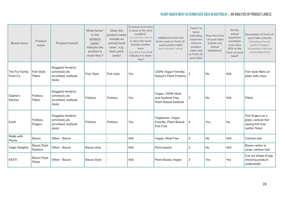| <b>Brand name</b>          | Product<br>name              | Product format <sup>c</sup>                                        | What terms <sup>D</sup><br>in the<br>product<br>nameE<br>indicate the<br>product is<br>meat-free <sup>F</sup> ? | Does the<br>product name<br>include an<br>animal meat<br>term <sup>G</sup> , e.g.<br>beef, pork,<br>lamb? | If animal meat term<br>is used, is the term<br>modified <sup>H</sup><br>(e.g. beef-less, chick'n)<br>or does the name<br>include another<br>term<br>(e.g. plant-based) to<br>indicate it is meat-<br>free? | <b>Additional meat-free</b><br>terms used on front-of-<br>pack product label<br>(not in product name) | Total # of<br>terms<br>indicating<br>meat-free<br>status in<br>product<br>name and<br>on front-of-<br>pack label | Does the front<br>-of-pack label<br>include any<br>animal<br>depictions? | Do the<br>animal<br>depictions<br>constitute<br>more than<br>10% of the<br>front-of-pack<br>label? | Description of front-of-<br>pack label artwork<br>(including relevant<br>product imagery,<br>iconography, and any<br>animal depictions) |
|----------------------------|------------------------------|--------------------------------------------------------------------|-----------------------------------------------------------------------------------------------------------------|-----------------------------------------------------------------------------------------------------------|------------------------------------------------------------------------------------------------------------------------------------------------------------------------------------------------------------|-------------------------------------------------------------------------------------------------------|------------------------------------------------------------------------------------------------------------------|--------------------------------------------------------------------------|----------------------------------------------------------------------------------------------------|-----------------------------------------------------------------------------------------------------------------------------------------|
| The Fry Family<br>Food Co. | Fish Style<br>Fillets        | Nuggets/tenders/<br>schnitzels etc<br>(crumbed, seafood-<br>style) | Fish-Style                                                                                                      | Fish style                                                                                                | Yes                                                                                                                                                                                                        | 100% Vegan Friendly,<br>Nature's Plant Proteins                                                       | 2                                                                                                                | No                                                                       | N/A                                                                                                | Fish style fillets on<br>plate with chips                                                                                               |
| Sophie's<br>Kitchen        | Fishless<br>Fillets          | Nuggets/tenders/<br>schnitzels etc<br>(crumbed, seafood-<br>style) | <b>Fishless</b>                                                                                                 | <b>Fishless</b>                                                                                           | Yes                                                                                                                                                                                                        | Vegan, 100% Meat<br>and Seafood Free,<br><b>Plant-Based Seafood</b>                                   | 3                                                                                                                | No                                                                       | N/A                                                                                                | Fillets                                                                                                                                 |
| Earth                      | <b>Fishless</b><br>Fingers   | Nuggets/tenders/<br>schnitzels etc<br>(crumbed, seafood-<br>style) | Fishless                                                                                                        | Fishless                                                                                                  | Yes                                                                                                                                                                                                        | Vegetarian, Vegan<br>Friendly, Plant-Based,<br><b>Fish Free</b>                                       | 4                                                                                                                | Yes                                                                      | No                                                                                                 | Fish fingers on a<br>plate, cartoon fish<br>saying fish free<br>nothin' fishy!                                                          |
| Made with<br>Plants        | Bacon                        | Other - Bacon                                                      |                                                                                                                 |                                                                                                           | N/A                                                                                                                                                                                                        | Vegan, Meat Free                                                                                      | 3                                                                                                                | No                                                                       | N/A                                                                                                | Cartoon leaf                                                                                                                            |
| Vegie Delights             | Bacon Style<br>Rashers       | Other - Bacon                                                      | Bacon style                                                                                                     |                                                                                                           | N/A                                                                                                                                                                                                        | Plant-based                                                                                           | $\overline{2}$                                                                                                   | No                                                                       | N/A                                                                                                | Bacon rasher in<br>wrap, cartoon leaf                                                                                                   |
| NEXT!                      | Bacon Style<br><b>Strips</b> | Other - Bacon                                                      | <b>Bacon Style</b>                                                                                              |                                                                                                           | N/A                                                                                                                                                                                                        | Plant Based, Vegan                                                                                    | 3                                                                                                                | Yes                                                                      | Yes                                                                                                | Cut out shape of pig<br>showing product<br>underneath                                                                                   |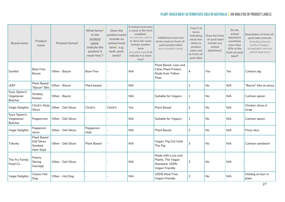| <b>Brand name</b>                            | Product<br>name                                          | Product format <sup>C</sup> | What terms <sup>D</sup><br>in the<br>product<br>name <sup>E</sup><br>indicate the<br>product is<br>meat-free <sup>F</sup> ? | Does the<br>product name<br>include an<br>animal meat<br>term <sup>G</sup> , e.g.<br>beef, pork,<br>lamb? | If animal meat term<br>is used, is the term<br>modified <sup>H</sup><br>(e.g. beef-less, chick'n)<br>or does the name<br>include another<br>term<br>(e.g. plant-based) to<br>indicate it is meat-<br>free? | <b>Additional meat-free</b><br>terms used on front-of-<br>pack product label<br>(not in product name) | Total # of<br>terms<br>indicating<br>meat-free<br>status in<br>product<br>name and<br>on front-of-<br>pack label | Does the front<br>-of-pack label<br>include any<br>animal<br>depictions? | Do the<br>animal<br>depictions<br>constitute<br>more than<br>10% of the<br>front-of-pack<br>label? | Description of front-of-<br>pack label artwork<br>(including relevant<br>product imagery,<br>iconography, and any<br>animal depictions) |
|----------------------------------------------|----------------------------------------------------------|-----------------------------|-----------------------------------------------------------------------------------------------------------------------------|-----------------------------------------------------------------------------------------------------------|------------------------------------------------------------------------------------------------------------------------------------------------------------------------------------------------------------|-------------------------------------------------------------------------------------------------------|------------------------------------------------------------------------------------------------------------------|--------------------------------------------------------------------------|----------------------------------------------------------------------------------------------------|-----------------------------------------------------------------------------------------------------------------------------------------|
| Sunfed                                       | <b>Boar Free</b><br>Bacon                                | Other - Bacon               | <b>Boar Free</b>                                                                                                            |                                                                                                           | N/A                                                                                                                                                                                                        | Plant Based, Lean and<br>Clean Plant Protein,<br>Made from Yellow<br>Peas                             | 4                                                                                                                | Yes                                                                      | Yes                                                                                                | Cartoon pig                                                                                                                             |
| vEEF                                         | <b>Plant Based</b><br>"Bacon" Bits                       | Other - Bacon               | Plant based                                                                                                                 |                                                                                                           | N/A                                                                                                                                                                                                        |                                                                                                       | 1                                                                                                                | <b>No</b>                                                                | N/A                                                                                                | "Bacon" bits on pizza                                                                                                                   |
| Suzy Spoon's<br>Vegetarian<br><b>Butcher</b> | Smokey<br>Rasher                                         | Other - Bacon               |                                                                                                                             |                                                                                                           | N/A                                                                                                                                                                                                        | Suitable for Vegans                                                                                   | 1                                                                                                                | No                                                                       | N/A                                                                                                | Cartoon spoon                                                                                                                           |
| Vegie Delights                               | Chick'n Style<br><b>Slices</b>                           | Other - Deli Slices         | Chick'n                                                                                                                     | Chick'n                                                                                                   | Yes                                                                                                                                                                                                        | <b>Plant Based</b>                                                                                    | $\overline{2}$                                                                                                   | No                                                                       | N/A                                                                                                | Chicken slices in<br>wrap                                                                                                               |
| Suzy Spoon's<br>Vegetarian<br><b>Butcher</b> | Peppernoni                                               | Other - Deli Slices         |                                                                                                                             |                                                                                                           | N/A                                                                                                                                                                                                        | Suitable for Vegans                                                                                   | 1                                                                                                                | <b>No</b>                                                                | N/A                                                                                                | Cartoon spoon                                                                                                                           |
| Vegie Delights                               | Pepperoni<br>slices                                      | Other - Deli Slices         | Pepperoni-<br>style                                                                                                         |                                                                                                           | N/A                                                                                                                                                                                                        | <b>Plant Based</b>                                                                                    | $\overline{2}$                                                                                                   | No                                                                       | N/A                                                                                                | Pizza slice                                                                                                                             |
| Tofurky                                      | <b>Plant Based</b><br>Deli Slices<br>Smoked<br>Ham Style | Other - Deli Slices         | <b>Plant Based</b>                                                                                                          |                                                                                                           | N/A                                                                                                                                                                                                        | Vegan, Pig Out Hold<br>The Pig                                                                        | 3                                                                                                                | No                                                                       | N/A                                                                                                | Cartoon sandwich                                                                                                                        |
| The Fry Family<br>Food Co.                   | Polony<br>Slicing<br>Sausage                             | Other - Deli Slices         |                                                                                                                             |                                                                                                           | N/A                                                                                                                                                                                                        | Made with Love and<br>Plants, The Vegan<br>Standard, 100%<br>Vegan Friendly                           | 3                                                                                                                | No                                                                       | N/A                                                                                                |                                                                                                                                         |
| Vegie Delights                               | Classic Hot<br>Dog                                       | Other - Hot Dog             |                                                                                                                             |                                                                                                           | N/A                                                                                                                                                                                                        | 100% Meat Free,<br>Vegan Friendly                                                                     | $\overline{2}$                                                                                                   | No                                                                       | N/A                                                                                                | Hotdog on bun in<br>plate                                                                                                               |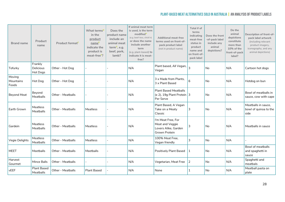| <b>Brand name</b>            | Product<br>name                  | Product format <sup>c</sup> | What terms <sup>D</sup><br>in the<br>product<br>name <sup>E</sup><br>indicate the<br>product is<br>meat-free <sup>F</sup> ? | Does the<br>product name<br>include an<br>animal meat<br>term <sup>G</sup> , e.g.<br>beef, pork,<br>lamb? | If animal meat term<br>is used, is the term<br>modified<br>(e.g. beef-less, chick'n)<br>or does the name<br>include another<br>term<br>(e.g. plant-based) to<br>indicate it is meat-<br>free? | <b>Additional meat-free</b><br>terms used on front-of-<br>pack product label<br>(not in product name) | Total # of<br>terms<br>indicating<br>meat-free<br>status in<br>product<br>name and<br>on front-of-<br>pack label | Does the front<br>-of-pack label<br>include any<br>animal<br>depictions? | Do the<br>animal<br>depictions<br>constitute<br>more than<br>10% of the<br>front-of-pack<br>label? | Description of front-of-<br>pack label artwork<br>(including relevant<br>product imagery,<br>iconography, and any<br>animal depictions) |
|------------------------------|----------------------------------|-----------------------------|-----------------------------------------------------------------------------------------------------------------------------|-----------------------------------------------------------------------------------------------------------|-----------------------------------------------------------------------------------------------------------------------------------------------------------------------------------------------|-------------------------------------------------------------------------------------------------------|------------------------------------------------------------------------------------------------------------------|--------------------------------------------------------------------------|----------------------------------------------------------------------------------------------------|-----------------------------------------------------------------------------------------------------------------------------------------|
| Tofurky                      | Frankly<br>Delicious<br>Hot Dogs | Other - Hot Dog             |                                                                                                                             |                                                                                                           | N/A                                                                                                                                                                                           | Plant based, All Vegan,<br>Vegan                                                                      | 3                                                                                                                | <b>No</b>                                                                | N/A                                                                                                | Cartoon hot dogs                                                                                                                        |
| Moving<br>Mountains<br>Foods | Hot Dog                          | Other - Hot Dog             |                                                                                                                             |                                                                                                           | N/A                                                                                                                                                                                           | 3 x Made from Plants,<br>3 x Plant Based                                                              | 6                                                                                                                | <b>No</b>                                                                | N/A                                                                                                | Hotdog on bun                                                                                                                           |
| <b>Beyond Meat</b>           | Beyond<br>Meatballs              | Other - Meatballs           |                                                                                                                             |                                                                                                           | N/A                                                                                                                                                                                           | <b>Plant Based Meatballs</b><br>$(x 2)$ , 19g Plant Protein 3<br>Per Serve                            |                                                                                                                  | No                                                                       | N/A                                                                                                | Bowl of meatballs in<br>sauce, cow with cape                                                                                            |
| Earth Grown                  | Meatless<br>Meatballs            | Other - Meatballs           | Meatless                                                                                                                    |                                                                                                           | N/A                                                                                                                                                                                           | Plant Based, A Vegan<br>Take on a Meaty<br>Classic                                                    | 3                                                                                                                | <b>No</b>                                                                | N/A                                                                                                | Meatballs in sauce.<br>bowl of quinoa to the<br>side                                                                                    |
| Gardein                      | Meatless<br>Meatballs            | Other - Meatballs           | Meatless                                                                                                                    |                                                                                                           | N/A                                                                                                                                                                                           | I'm Meat Free, For<br>Meat and Veggie<br>Lovers Alike, Garden<br>Grown Protein                        | 3                                                                                                                | <b>No</b>                                                                | N/A                                                                                                | Meatballs in sauce                                                                                                                      |
| Vegie Delights               | Meatless<br>Meatballs            | Other - Meatballs           | Meatless                                                                                                                    |                                                                                                           | N/A                                                                                                                                                                                           | 100% Meat Free,<br>Vegan friendly                                                                     | 3                                                                                                                | <b>No</b>                                                                | N/A                                                                                                |                                                                                                                                         |
| <b>MEET</b>                  | Meetballs                        | Other - Meatballs           | Meetballs                                                                                                                   |                                                                                                           | N/A                                                                                                                                                                                           | Positively Plant Based                                                                                | 1                                                                                                                | No                                                                       | N/A                                                                                                | <b>Bowl of meatballs</b><br>and spaghetti in<br>sauce                                                                                   |
| Harvest<br>Gourmet           | Mince Balls                      | <b>Other - Meatballs</b>    |                                                                                                                             |                                                                                                           | N/A                                                                                                                                                                                           | Vegetarian, Meat Free                                                                                 | 2                                                                                                                | <b>No</b>                                                                | N/A                                                                                                | Spaghetti and<br>meatbals                                                                                                               |
| vEEF                         | <b>Plant Based</b><br>Meatballs  | Other - Meatballs           | <b>Plant Based</b>                                                                                                          |                                                                                                           | N/A                                                                                                                                                                                           | None                                                                                                  | 1                                                                                                                | <b>No</b>                                                                | N/A                                                                                                | Meatball pasta on<br>plate                                                                                                              |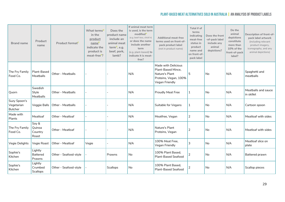| <b>Brand name</b>                            | Product<br>name                       | Product format <sup>c</sup> | What terms <sup>D</sup><br>in the<br>product<br>nameE<br>indicate the<br>product is<br>meat-free <sup>F</sup> ? | Does the<br>product name<br>include an<br>animal meat<br>term $6$ , e.g.<br>beef, pork,<br>lamb? | If animal meat term<br>is used, is the term<br>modified <sup>H</sup><br>(e.g. beef-less, chick'n)<br>or does the name<br>include another<br>term<br>(e.g. plant-based) to<br>indicate it is meat-<br>free? | <b>Additional meat-free</b><br>terms used on front-of-<br>pack product label<br>(not in product name)  | Total # of<br>terms<br>indicating<br>meat-free<br>status in<br>product<br>name and<br>on front-of-<br>pack label | Does the front<br>-of-pack label<br>include any<br>animal<br>depictions? | Do the<br>animal<br>depictions<br>constitute<br>more than<br>10% of the<br>front-of-pack<br>label? | Description of front-of-<br>pack label artwork<br>(including relevant<br>product imagery,<br>iconography, and any<br>animal depictions) |
|----------------------------------------------|---------------------------------------|-----------------------------|-----------------------------------------------------------------------------------------------------------------|--------------------------------------------------------------------------------------------------|------------------------------------------------------------------------------------------------------------------------------------------------------------------------------------------------------------|--------------------------------------------------------------------------------------------------------|------------------------------------------------------------------------------------------------------------------|--------------------------------------------------------------------------|----------------------------------------------------------------------------------------------------|-----------------------------------------------------------------------------------------------------------------------------------------|
| The Fry Family<br>Food Co.                   | Plant-Based<br>Meatballs              | Other - Meatballs           |                                                                                                                 |                                                                                                  | N/A                                                                                                                                                                                                        | Made with Delicious<br>Plant-Based Mince.<br>Nature's Plant<br>Proteins, Vegan, 100%<br>Vegan Friendly | 5                                                                                                                | No                                                                       | N/A                                                                                                | Spaghetti and<br>meatballs                                                                                                              |
| Quorn                                        | Swedish<br>Style<br>Meatballs         | Other - Meatballs           |                                                                                                                 |                                                                                                  | N/A                                                                                                                                                                                                        | <b>Proudly Meat Free</b>                                                                               | 1                                                                                                                | <b>No</b>                                                                | N/A                                                                                                | Meatballs and sauce<br>in skillet                                                                                                       |
| Suzy Spoon's<br>Vegetarian<br><b>Butcher</b> | Veggie Balls                          | <b>Other - Meatballs</b>    |                                                                                                                 |                                                                                                  | N/A                                                                                                                                                                                                        | Suitable for Vegans                                                                                    | 1                                                                                                                | No                                                                       | N/A                                                                                                | Cartoon spoon                                                                                                                           |
| Made with<br>Plants                          | Meatloaf                              | Other - Meatloaf            |                                                                                                                 |                                                                                                  | N/A                                                                                                                                                                                                        | Meatfree, Vegan                                                                                        | 2                                                                                                                | <b>No</b>                                                                | N/A                                                                                                | Meatloaf with sides                                                                                                                     |
| The Fry Family<br>Food Co.                   | Soy &<br>Quinoa<br>Country<br>Roast   | Other - Meatloaf            |                                                                                                                 |                                                                                                  | N/A                                                                                                                                                                                                        | Nature's Plant<br>Proteins, Vegan                                                                      | 2                                                                                                                | <b>No</b>                                                                | N/A                                                                                                | Meatloaf with sides                                                                                                                     |
| Vegie Delights                               | Vegie Roast                           | Other - Meatloaf            | Vegie                                                                                                           |                                                                                                  | N/A                                                                                                                                                                                                        | 100% Meat Free,<br>Vegan Friendly                                                                      | 3                                                                                                                | No                                                                       | N/A                                                                                                | Meatloaf slice on<br>plate                                                                                                              |
| Sophie's<br>Kitchen                          | Lightly<br><b>Battered</b><br>Prawns  | Other - Seafood-style       |                                                                                                                 | Prawns                                                                                           | No                                                                                                                                                                                                         | 100% Plant Based,<br><b>Plant-Based Seafood</b>                                                        | 2                                                                                                                | No                                                                       | N/A                                                                                                | Battered prawn                                                                                                                          |
| Sophie's<br>Kitchen                          | Lightly<br>Crumbed<br><b>Scallops</b> | Other - Seafood-style       |                                                                                                                 | <b>Scallops</b>                                                                                  | <b>No</b>                                                                                                                                                                                                  | 100% Plant Based,<br><b>Plant-Based Seafood</b>                                                        | $\overline{2}$                                                                                                   | No                                                                       | N/A                                                                                                | Scallop pieces                                                                                                                          |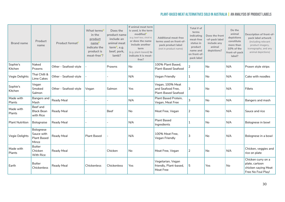| <b>Brand name</b>   | Product<br>name                                        | Product format <sup>C</sup> | What terms <sup>D</sup><br>in the<br>product<br>nameE<br>indicate the<br>product is<br>meat-free <sup>F</sup> ? | Does the<br>product name<br>include an<br>animal meat<br>term <sup>G</sup> , e.g.<br>beef, pork,<br>lamb? | If animal meat term<br>is used, is the term<br>modified <sup>H</sup><br>(e.g. beef-less, chick'n)<br>or does the name<br>include another<br>term<br>(e.g. plant-based) to<br>indicate it is meat-<br>free? | <b>Additional meat-free</b><br>terms used on front-of-<br>pack product label<br>(not in product name) | Total # of<br>terms<br>indicating<br>meat-free<br>status in<br>product<br>name and<br>on front-of-<br>pack label | Does the front<br>-of-pack label<br>include any<br>animal<br>depictions? | Do the<br>animal<br>depictions<br>constitute<br>more than<br>10% of the<br>front-of-pack<br>label? | Description of front-of-<br>pack label artwork<br>(including relevant<br>product imagery,<br>iconography, and any<br>animal depictions) |
|---------------------|--------------------------------------------------------|-----------------------------|-----------------------------------------------------------------------------------------------------------------|-----------------------------------------------------------------------------------------------------------|------------------------------------------------------------------------------------------------------------------------------------------------------------------------------------------------------------|-------------------------------------------------------------------------------------------------------|------------------------------------------------------------------------------------------------------------------|--------------------------------------------------------------------------|----------------------------------------------------------------------------------------------------|-----------------------------------------------------------------------------------------------------------------------------------------|
| Sophie's<br>Kitchen | Naked<br>Prawns                                        | Other - Seafood-style       |                                                                                                                 | Prawns                                                                                                    | No                                                                                                                                                                                                         | 100% Plant Based.<br><b>Plant-Based Seafood</b>                                                       | $\overline{2}$                                                                                                   | <b>No</b>                                                                | N/A                                                                                                | Prawn style strips                                                                                                                      |
| Vegie Delights      | Thai Chilli &<br>Lime Cakes                            | Other - Seafood-style       |                                                                                                                 |                                                                                                           | N/A                                                                                                                                                                                                        | Vegan Friendly                                                                                        | 1                                                                                                                | No                                                                       | N/A                                                                                                | Cake with noodles                                                                                                                       |
| Sophie's<br>Kitchen | Vegan<br>Smoked<br>Salmon                              | Other - Seafood-style       | Vegan                                                                                                           | Salmon                                                                                                    | Yes                                                                                                                                                                                                        | Vegan, 100% Meat<br>and Seafood Free,<br><b>Plant-Based Seafood</b>                                   | 3                                                                                                                | No                                                                       | N/A                                                                                                | Fillets                                                                                                                                 |
| Made with<br>Plants | Bangers and<br>Mash                                    | Ready Meal                  |                                                                                                                 |                                                                                                           | N/A                                                                                                                                                                                                        | Plant Based Protein,<br>Vegan, Meat Free                                                              | 3                                                                                                                | <b>No</b>                                                                | N/A                                                                                                | Bangers and mash                                                                                                                        |
| Made with<br>Plants | Beef and<br><b>Black Bean</b><br>with Rice             | Ready Meal                  |                                                                                                                 | <b>Beef</b>                                                                                               | <b>No</b>                                                                                                                                                                                                  | Meat Free, Vegan                                                                                      | 2                                                                                                                | No                                                                       | N/A                                                                                                | Sauce and rice                                                                                                                          |
| Plant Nutrition     | Bolognaise                                             | Ready Meal                  |                                                                                                                 |                                                                                                           | N/A                                                                                                                                                                                                        | <b>Plant Based</b><br>Ingredients                                                                     | 1                                                                                                                | <b>No</b>                                                                | N/A                                                                                                | Bolognese in bowl                                                                                                                       |
| Vegie Delights      | Bolognese<br>Sauce with<br><b>Plant Based</b><br>Mince | Ready Meal                  | <b>Plant Based</b>                                                                                              |                                                                                                           | N/A                                                                                                                                                                                                        | 100% Meat Free.<br>Vegan Friendly                                                                     | 3                                                                                                                | <b>No</b>                                                                | N/A                                                                                                | Bolognese in a bowl                                                                                                                     |
| Made with<br>Plants | <b>Butter</b><br>Chicken<br>With Rice                  | Ready Meal                  |                                                                                                                 | Chicken                                                                                                   | <b>No</b>                                                                                                                                                                                                  | Meat Free, Vegan                                                                                      | 2                                                                                                                | <b>No</b>                                                                | N/A                                                                                                | Chicken, veggies and<br>rice on plate                                                                                                   |
| Earth               | <b>Butter</b><br>Chickenless                           | Ready Meal                  | Chickenless                                                                                                     | Chickenless                                                                                               | Yes                                                                                                                                                                                                        | Vegetarian, Vegan<br>friendly, Plant-based,<br>Meat Free                                              | 5                                                                                                                | Yes                                                                      | <b>No</b>                                                                                          | Chicken curry on a<br>plate, cartoon<br>chicken saying Meat<br>Free No Foul Play!                                                       |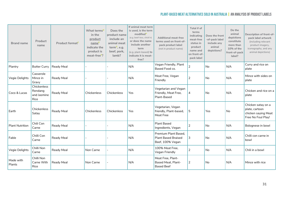| <b>Brand name</b>      | Product<br>name                               | Product format <sup>c</sup> | What terms <sup>D</sup><br>in the<br>product<br>name <sup>E</sup><br>indicate the<br>product is<br>meat-free <sup>F</sup> ? | Does the<br>product name<br>include an<br>animal meat<br>term <sup>G</sup> , e.g.<br>beef, pork,<br>lamb? | If animal meat term<br>is used, is the term<br>modified <sup>H</sup><br>(e.g. beef-less, chick'n)<br>or does the name<br>include another<br>term<br>(e.g. plant-based) to<br>indicate it is meat-<br>free? | <b>Additional meat-free</b><br>terms used on front-of-<br>pack product label<br>(not in product name) | Total # of<br>terms<br>indicating<br>meat-free<br>status in<br>product<br>name and<br>on front-of-<br>pack label | Does the front<br>-of-pack label<br>include any<br>animal<br>depictions? | Do the<br>animal<br>depictions<br>constitute<br>more than<br>10% of the<br>front-of-pack<br>label? | Description of front-of-<br>pack label artwork<br>(including relevant<br>product imagery,<br>iconography, and any<br>animal depictions) |
|------------------------|-----------------------------------------------|-----------------------------|-----------------------------------------------------------------------------------------------------------------------------|-----------------------------------------------------------------------------------------------------------|------------------------------------------------------------------------------------------------------------------------------------------------------------------------------------------------------------|-------------------------------------------------------------------------------------------------------|------------------------------------------------------------------------------------------------------------------|--------------------------------------------------------------------------|----------------------------------------------------------------------------------------------------|-----------------------------------------------------------------------------------------------------------------------------------------|
| Plantry                | <b>Butter Curry</b>                           | Ready Meal                  |                                                                                                                             |                                                                                                           | N/A                                                                                                                                                                                                        | Vegan Friendly, Plant<br>Based Food co.                                                               | 2                                                                                                                | <b>No</b>                                                                | N/A                                                                                                | Curry and rice on<br>plate                                                                                                              |
| Vegie Delights         | Casserole<br>Mince in<br>Gravy                | Ready Meal                  |                                                                                                                             |                                                                                                           | N/A                                                                                                                                                                                                        | Meat Free, Vegan<br>Friendly                                                                          | 2                                                                                                                | No                                                                       | N/A                                                                                                | Mince with sides on<br>plate                                                                                                            |
| Coco & Lucas           | Chickenless<br>Rendang<br>and Jasmine<br>Rice | Ready Meal                  | Chickenless                                                                                                                 | Chickenless                                                                                               | Yes                                                                                                                                                                                                        | Vegetarian and Vegan<br>Friendly, Meat Free,<br>Plant-Based                                           | $\overline{4}$                                                                                                   | No                                                                       | N/A                                                                                                | Chicken and rice on a<br>plate                                                                                                          |
| Earth                  | Chickenless<br>Satay                          | Ready Meal                  | Chickenless                                                                                                                 | Chickenless                                                                                               | Yes                                                                                                                                                                                                        | Vegetarian, Vegan<br>friendly, Plant-based,<br>Meat Free                                              | 5                                                                                                                | Yes                                                                      | No                                                                                                 | Chicken satay on a<br>plate, cartoon<br>chicken saying Meat<br>Free No Foul Play!                                                       |
| <b>Plant Nutrition</b> | Chili Con<br>Carne                            | Ready Meal                  |                                                                                                                             |                                                                                                           | N/A                                                                                                                                                                                                        | <b>Plant Based</b><br>Ingredients, Vegan                                                              | $\overline{2}$                                                                                                   | <b>No</b>                                                                | N/A                                                                                                | Bolognese in bowl                                                                                                                       |
| Fable                  | Chilli Con<br>Carne                           | Ready Meal                  |                                                                                                                             |                                                                                                           | N/A                                                                                                                                                                                                        | Premium Plant Based,<br><b>Plant Based Braised</b><br>Beef, 100% Vegan                                | 3                                                                                                                | <b>No</b>                                                                | N/A                                                                                                | Chilli con carne in<br>bowl                                                                                                             |
| Vegie Delights         | Chilli Non<br>Carne                           | Ready Meal                  | Non Carne                                                                                                                   |                                                                                                           | N/A                                                                                                                                                                                                        | 100% Meat Free,<br>Vegan Friendly                                                                     | 2                                                                                                                | <b>No</b>                                                                | N/A                                                                                                | Chili in a bowl                                                                                                                         |
| Made with<br>Plants    | Chilli Non<br>Carne With<br>Rice              | Ready Meal                  | Non Carne                                                                                                                   |                                                                                                           | N/A                                                                                                                                                                                                        | Meat Free, Plant-<br>Based Meat, Plant-<br><b>Based Beef</b>                                          | 2                                                                                                                | No                                                                       | N/A                                                                                                | Mince with rice                                                                                                                         |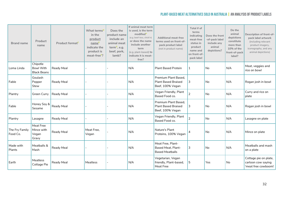| <b>Brand name</b>          | Product<br>name                                    | Product format <sup>c</sup> | What terms <sup>D</sup><br>in the<br>product<br>nameE<br>indicate the<br>product is<br>meat-free <sup>F</sup> ? | Does the<br>product name<br>include an<br>animal meat<br>term <sup>G</sup> , e.g.<br>beef, pork,<br>lamb? | If animal meat term<br>is used, is the term<br>modifiedh<br>(e.g. beef-less, chick'n)<br>or does the name<br>include another<br>term<br>(e.g. plant-based) to<br>indicate it is meat-<br>free? | <b>Additional meat-free</b><br>terms used on front-of-<br>pack product label<br>(not in product name) | Total # of<br>terms<br>indicating<br>meat-free<br>status in<br>product<br>name and<br>on front-of-<br>pack label | Does the front<br>-of-pack label<br>include any<br>animal<br>depictions? | Do the<br>animal<br>depictions<br>constitute<br>more than<br>10% of the<br>front-of-pack<br>label? | Description of front-of-<br>pack label artwork<br>(including relevant<br>product imagery,<br>iconography, and any<br>animal depictions) |
|----------------------------|----------------------------------------------------|-----------------------------|-----------------------------------------------------------------------------------------------------------------|-----------------------------------------------------------------------------------------------------------|------------------------------------------------------------------------------------------------------------------------------------------------------------------------------------------------|-------------------------------------------------------------------------------------------------------|------------------------------------------------------------------------------------------------------------------|--------------------------------------------------------------------------|----------------------------------------------------------------------------------------------------|-----------------------------------------------------------------------------------------------------------------------------------------|
| Loma Linda                 | Chipotle<br><b>Bowl With</b><br><b>Black Beans</b> | Ready Meal                  |                                                                                                                 |                                                                                                           | N/A                                                                                                                                                                                            | <b>Plant Based Protein</b>                                                                            | 1                                                                                                                | No                                                                       | N/A                                                                                                | Meat, veggies and<br>rice on bowl                                                                                                       |
| Fable                      | Goulash<br>Pepper<br>Stew                          | Ready Meal                  |                                                                                                                 |                                                                                                           | N/A                                                                                                                                                                                            | Premium Plant Based,<br><b>Plant Based Braised</b><br>Beef, 100% Vegan                                | 3                                                                                                                | <b>No</b>                                                                | N/A                                                                                                | Rogan josh in bowl                                                                                                                      |
| Plantry                    | Green Curry                                        | Ready Meal                  |                                                                                                                 |                                                                                                           | N/A                                                                                                                                                                                            | Vegan Friendly, Plant<br>Based Food co.                                                               | 2                                                                                                                | No                                                                       | N/A                                                                                                | Curry and rice on<br>plate                                                                                                              |
| Fable                      | Honey Soy &<br>Sesame                              | Ready Meal                  |                                                                                                                 |                                                                                                           | N/A                                                                                                                                                                                            | Premium Plant Based.<br><b>Plant Based Braised</b><br>Beef, 100% Vegan                                | 3                                                                                                                | No                                                                       | N/A                                                                                                | Rogan josh in bowl                                                                                                                      |
| Plantry                    | Lasagne                                            | Ready Meal                  |                                                                                                                 |                                                                                                           | N/A                                                                                                                                                                                            | Vegan Friendly, Plant<br>Based Food co.                                                               | 2                                                                                                                | No                                                                       | N/A                                                                                                | Lasagne on plate                                                                                                                        |
| The Fry Family<br>Food Co. | Meat Free<br>Mince with<br>Vegan<br>Gravy          | Ready Meal                  | Meat Free,<br>Vegan                                                                                             |                                                                                                           | N/A                                                                                                                                                                                            | Nature's Plant<br>Proteins, 100% Vegan                                                                |                                                                                                                  | No                                                                       | N/A                                                                                                | Mince on plate                                                                                                                          |
| Made with<br>Plants        | Meatballs &<br>Mash                                | Ready Meal                  |                                                                                                                 |                                                                                                           | N/A                                                                                                                                                                                            | Meat Free, Plant-<br><b>Based Meat, Plant-</b><br><b>Based Meatballs</b>                              | 3                                                                                                                | No                                                                       | N/A                                                                                                | Meatballs and mash<br>on a plate                                                                                                        |
| Earth                      | Meatless<br>Cottage Pie                            | Ready Meal                  | Meatless                                                                                                        |                                                                                                           | N/A                                                                                                                                                                                            | Vegetarian, Vegan<br>friendly, Plant-based,<br><b>Meat Free</b>                                       | 5                                                                                                                | Yes                                                                      | No                                                                                                 | Cottage pie on plate,<br>cartoon cow saying<br>'meat free cowboom!                                                                      |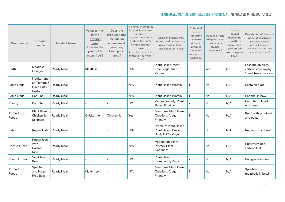| <b>Brand name</b>      | Product<br>name                                   | Product format <sup>c</sup> | What terms <sup>D</sup><br>in the<br>product<br>name <sup>L</sup><br>indicate the<br>product is<br>meat-free <sup>F</sup> ? | Does the<br>product name<br>include an<br>animal meat<br>term $6$ , e.g.<br>beef, pork,<br>lamb? | If animal meat term<br>is used, is the term<br>modified <sup>H</sup><br>(e.g. beef-less, chick'n)<br>or does the name<br>include another<br>term<br>(e.g. plant-based) to<br>indicate it is meat-<br>free? | <b>Additional meat-free</b><br>terms used on front-of-<br>pack product label<br>(not in product name) | Total # of<br>terms<br>indicating<br>meat-free<br>status in<br>product<br>name and<br>on front-of-<br>pack label | Does the front<br>-of-pack label<br>include any<br>animal<br>depictions? | Do the<br>animal<br>depictions<br>constitute<br>more than<br>10% of the<br>front-of-pack<br>label? | Description of front-of-<br>pack label artwork<br>(including relevant<br>product imagery,<br>iconography, and any<br>animal depictions) |
|------------------------|---------------------------------------------------|-----------------------------|-----------------------------------------------------------------------------------------------------------------------------|--------------------------------------------------------------------------------------------------|------------------------------------------------------------------------------------------------------------------------------------------------------------------------------------------------------------|-------------------------------------------------------------------------------------------------------|------------------------------------------------------------------------------------------------------------------|--------------------------------------------------------------------------|----------------------------------------------------------------------------------------------------|-----------------------------------------------------------------------------------------------------------------------------------------|
| Earth                  | Meatless<br>Lasagne                               | Ready Meal                  | Meatless                                                                                                                    |                                                                                                  | N/A                                                                                                                                                                                                        | Plant Based, Meat<br>Free, Vegetarian,<br>Vegan                                                       | 5                                                                                                                | Yes                                                                      | No                                                                                                 | Lasagne on plate,<br>cartoon cow saying<br>"meat free cowboom!                                                                          |
| Loma Linda             | Mediterrane<br>an Tomato &<br>Olive With<br>Pasta | Ready Meal                  |                                                                                                                             |                                                                                                  | N/A                                                                                                                                                                                                        | <b>Plant Based Protein</b>                                                                            | 1                                                                                                                | <b>No</b>                                                                | N/A                                                                                                | Pasta on plate                                                                                                                          |
| Loma Linda             | Pad Thai                                          | Ready Meal                  |                                                                                                                             |                                                                                                  | N/A                                                                                                                                                                                                        | <b>Plant Based Protein</b>                                                                            | $\mathbf{1}$                                                                                                     | No                                                                       | N/A                                                                                                | Pad thai in bowl                                                                                                                        |
| Plantry                | Pad Thai                                          | Ready Meal                  |                                                                                                                             |                                                                                                  | N/A                                                                                                                                                                                                        | Vegan Friendly, Plant<br>Based Food co.                                                               | $\overline{2}$                                                                                                   | No                                                                       | N/A                                                                                                | Pad Thai in bowl<br>with lime                                                                                                           |
| Ruffie Rustic<br>Foods | <b>Plant Based</b><br>Chicken-ie<br>Schnitzel     | Ready Meal                  | Chicken-ie                                                                                                                  | Chicken-ie                                                                                       | Yes                                                                                                                                                                                                        | Meat Free Plant Based<br>Creations, Vegan<br>Friendly,                                                | 3                                                                                                                | No                                                                       | N/A                                                                                                | Bowl with schnitzel<br>and pasta                                                                                                        |
| Fable                  | Rogan Josh                                        | <b>Ready Meal</b>           |                                                                                                                             |                                                                                                  | N/A                                                                                                                                                                                                        | Premium Plant Based,<br><b>Plant Based Braised</b><br>Beef, 100% Vegan                                | 3                                                                                                                | No                                                                       | N/A                                                                                                | Rogan josh in bowl                                                                                                                      |
| Coco & Lucas           | Rogan Josh<br>with<br>Basmati<br>Rice             | Ready Meal                  |                                                                                                                             |                                                                                                  | N/A                                                                                                                                                                                                        | Vegetarian, Plant<br>Protein, Plant<br>Goodness                                                       | 3                                                                                                                | <b>No</b>                                                                | N/A                                                                                                | Curry with rice,<br>cartoon leaf                                                                                                        |
| <b>Plant Nutrition</b> | San Choy<br>Bow                                   | Ready Meal                  |                                                                                                                             |                                                                                                  | N/A                                                                                                                                                                                                        | <b>Plant Based</b><br>Ingredients, Vegan                                                              | 2                                                                                                                | No                                                                       | N/A                                                                                                | Bolognese in bowl                                                                                                                       |
| Ruffie Rustic<br>Foods | Spaghetti<br>and Meat-<br><b>Free Balls</b>       | Ready Meal                  | Meat-free                                                                                                                   |                                                                                                  | N/A                                                                                                                                                                                                        | Meat Free Plant Based<br>Creations, Vegan<br>Friendly,                                                | 3                                                                                                                | No                                                                       | N/A                                                                                                | Spaghtetti and<br>meatballs in bowl                                                                                                     |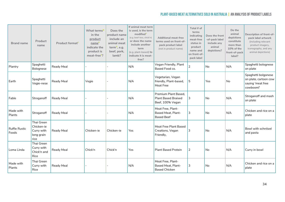| <b>Brand name</b>             | Product<br>name                                              | Product format <sup>c</sup> | What terms <sup>D</sup><br>in the<br>product<br>name <sup>E</sup><br>indicate the<br>product is<br>meat-free <sup>F</sup> ? | Does the<br>product name<br>include an<br>animal meat<br>term $6$ , e.g.<br>beef, pork,<br>lamb? | If animal meat term<br>is used, is the term<br>modified<br>(e.g. beef-less, chick'n)<br>or does the name<br>include another<br>term<br>(e.g. plant-based) to<br>indicate it is meat-<br>free? | <b>Additional meat-free</b><br>terms used on front-of-<br>pack product label<br>(not in product name) | Total # of<br>terms<br>indicating<br>meat-free<br>status in<br>product<br>name and<br>on front-of-<br>pack label | Does the front<br>-of-pack label<br>include any<br>animal<br>depictions? | Do the<br>animal<br>depictions<br>constitute<br>more than<br>10% of the<br>front-of-pack<br>label? | Description of front-of-<br>pack label artwork<br>(including relevant<br>product imagery,<br>iconography, and any<br>animal depictions) |
|-------------------------------|--------------------------------------------------------------|-----------------------------|-----------------------------------------------------------------------------------------------------------------------------|--------------------------------------------------------------------------------------------------|-----------------------------------------------------------------------------------------------------------------------------------------------------------------------------------------------|-------------------------------------------------------------------------------------------------------|------------------------------------------------------------------------------------------------------------------|--------------------------------------------------------------------------|----------------------------------------------------------------------------------------------------|-----------------------------------------------------------------------------------------------------------------------------------------|
| Plantry                       | Spaghetti<br>Bolognese                                       | Ready Meal                  |                                                                                                                             |                                                                                                  | N/A                                                                                                                                                                                           | Vegan Friendly, Plant<br>Based Food co.                                                               | 2                                                                                                                | <b>No</b>                                                                | N/A                                                                                                | Spaghetti bolognese<br>on plate                                                                                                         |
| Earth                         | Spaghetti<br>Vegie-nese                                      | Ready Meal                  | Vegie                                                                                                                       |                                                                                                  | N/A                                                                                                                                                                                           | Vegetarian, Vegan<br>friendly, Plant-based,<br>Meat Free                                              | 5                                                                                                                | Yes                                                                      | <b>No</b>                                                                                          | Spaghetti bolgonese<br>on plate, cartoon cow<br>saying 'meat free<br>cowboom!'                                                          |
| Fable                         | Stroganoff                                                   | Ready Meal                  |                                                                                                                             |                                                                                                  | N/A                                                                                                                                                                                           | Premium Plant Based,<br><b>Plant Based Braised</b><br>Beef, 100% Vegan                                | 3                                                                                                                | No                                                                       | N/A                                                                                                | Stroganoff and mash<br>on plate                                                                                                         |
| Made with<br>Plants           | Stroganoff                                                   | Ready Meal                  |                                                                                                                             |                                                                                                  | N/A                                                                                                                                                                                           | Meat Free, Plant-<br>Based Meat, Plant-<br><b>Based Beef</b>                                          | 3                                                                                                                | No                                                                       | N/A                                                                                                | Chicken and rice on a<br>plate                                                                                                          |
| <b>Ruffie Rustic</b><br>Foods | Thai Green<br>Chicken-ie<br>Curry with<br>long grain<br>rice | Ready Meal                  | Chicken-ie                                                                                                                  | Chicken-ie                                                                                       | Yes                                                                                                                                                                                           | Meat Free Plant Based<br>Creations, Vegan<br>Friendly,                                                | 3                                                                                                                | No.                                                                      | N/A                                                                                                | Bowl with schnitzel<br>and pasta                                                                                                        |
| Loma Linda                    | Thai Green<br>Curry with<br>Chick'n and<br>Rice              | Ready Meal                  | Chick'n                                                                                                                     | Chick'n                                                                                          | <b>Yes</b>                                                                                                                                                                                    | <b>Plant Based Protein</b>                                                                            | 2                                                                                                                | No                                                                       | N/A                                                                                                | Curry in bowl                                                                                                                           |
| Made with<br>Plants           | Thai Green<br>Curry with<br>Rice                             | Ready Meal                  |                                                                                                                             |                                                                                                  | N/A                                                                                                                                                                                           | Meat Free, Plant-<br>Based Meat, Plant-<br><b>Based Chicken</b>                                       | 3                                                                                                                | No                                                                       | N/A                                                                                                | Chicken and rice on a<br>plate                                                                                                          |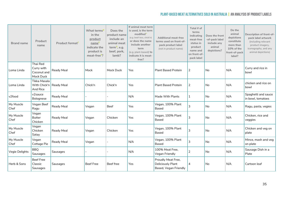| <b>Brand name</b> | Product<br>name                                       | Product format <sup>C</sup> | What terms <sup>D</sup><br>in the<br>product<br>name<br>indicate the<br>product is<br>meat-free <sup>F</sup> ? | Does the<br>product name<br>include an<br>animal meat<br>term $6$ , e.g.<br>beef, pork,<br>lamb? | If animal meat term<br>is used, is the term<br>modified <sup>H</sup><br>(e.g. beef-less, chick'n)<br>or does the name<br>include another<br>term<br>(e.g. plant-based) to<br>indicate it is meat-<br>free? | <b>Additional meat-free</b><br>terms used on front-of-<br>pack product label<br>(not in product name) | Total # of<br>terms<br>indicating<br>meat-free<br>status in<br>product<br>name and<br>on front-of-<br>pack label | Does the front<br>-of-pack label<br>include any<br>animal<br>depictions? | Do the<br>animal<br>depictions<br>constitute<br>more than<br>10% of the<br>front-of-pack<br>label? | Description of front-of-<br>pack label artwork<br>(including relevant<br>product imagery,<br>iconography, and any<br>animal depictions) |
|-------------------|-------------------------------------------------------|-----------------------------|----------------------------------------------------------------------------------------------------------------|--------------------------------------------------------------------------------------------------|------------------------------------------------------------------------------------------------------------------------------------------------------------------------------------------------------------|-------------------------------------------------------------------------------------------------------|------------------------------------------------------------------------------------------------------------------|--------------------------------------------------------------------------|----------------------------------------------------------------------------------------------------|-----------------------------------------------------------------------------------------------------------------------------------------|
| Loma Linda        | Thai Red<br>Curry with<br>Coconut and<br>Mock Duck    | <b>Ready Meal</b>           | Mock                                                                                                           | Mock Duck                                                                                        | Yes                                                                                                                                                                                                        | <b>Plant Based Protein</b>                                                                            | $\overline{2}$                                                                                                   | No                                                                       | N/A                                                                                                | Curry and rice in<br>bowl                                                                                                               |
| Loma Linda        | Tikka Masala<br>With Chick'n   Ready Meal<br>And Rice |                             | Chick'n                                                                                                        | Chick'n                                                                                          | Yes                                                                                                                                                                                                        | <b>Plant Based Protein</b>                                                                            | 2                                                                                                                | No                                                                       | N/A                                                                                                | chicken and rice on<br>bowl                                                                                                             |
| v2food            | v2sauce<br>Bolognese                                  | Ready Meal                  |                                                                                                                |                                                                                                  | N/A                                                                                                                                                                                                        | Made With Plants                                                                                      | 1                                                                                                                | No                                                                       | N/A                                                                                                | Spaghetti and sauce<br>in bowl, tomatoes                                                                                                |
| My Muscle<br>Chef | Vegan Beef<br>Ragu                                    | Ready Meal                  | Vegan                                                                                                          | Beef                                                                                             | <b>Yes</b>                                                                                                                                                                                                 | Vegan, 100% Plant<br><b>Based</b>                                                                     | 3                                                                                                                | No                                                                       | N/A                                                                                                | Ragu, pasta, vegies                                                                                                                     |
| My Muscle<br>Chef | Vegan<br><b>Butter</b><br>Chicken                     | Ready Meal                  | Vegan                                                                                                          | Chicken                                                                                          | Yes                                                                                                                                                                                                        | Vegan, 100% Plant<br><b>Based</b>                                                                     | 3                                                                                                                | No                                                                       | N/A                                                                                                | Chicken, rice and<br>veggies                                                                                                            |
| My Muscle<br>Chef | Vegan<br>Chicken<br>Satay                             | Ready Meal                  | Vegan                                                                                                          | Chicken                                                                                          | Yes                                                                                                                                                                                                        | Vegan, 100% Plant<br><b>Based</b>                                                                     | 3                                                                                                                | No                                                                       | N/A                                                                                                | Chicken and veg on<br>plate                                                                                                             |
| My Muscle<br>Chef | Vegan<br>Cottage Pie                                  | Ready Meal                  | Vegan                                                                                                          |                                                                                                  | N/A                                                                                                                                                                                                        | Vegan, 100% Plant<br><b>Based</b>                                                                     | 3                                                                                                                | No                                                                       | N/A                                                                                                | Mince, mash and veg<br>on plate                                                                                                         |
| Vegie Delights    | <b>BBQ</b><br>Sausages                                | Sausages                    |                                                                                                                |                                                                                                  | N/A                                                                                                                                                                                                        | 100% Meat Free,<br>Vegan Friendly                                                                     | 2                                                                                                                | No                                                                       | N/A                                                                                                | Sausage Dish in a<br>Plate                                                                                                              |
| Herb & Sons       | <b>Beef Free</b><br>Classic<br>Sausages               | Sausages                    | <b>Beef Free</b>                                                                                               | Beef free                                                                                        | Yes                                                                                                                                                                                                        | Proudly Meat Free,<br>Deliciously Plant<br>Based, Vegan Friendly                                      | 4                                                                                                                | <b>No</b>                                                                | N/A                                                                                                | Cartoon leaf                                                                                                                            |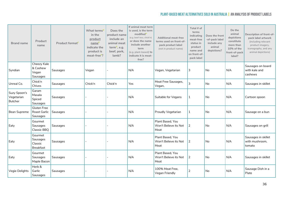| <b>Brand name</b>                            | Product<br>name                                    | Product format <sup>c</sup> | What terms <sup>D</sup><br>in the<br>product<br>name <sup>L</sup><br>indicate the<br>product is<br>meat-free <sup>F</sup> ? | Does the<br>product name<br>include an<br>animal meat<br>term $6$ , e.g.<br>beef, pork,<br>lamb? | If animal meat term<br>is used, is the term<br>modified <sup>H</sup><br>(e.g. beef-less, chick'n)<br>or does the name<br>include another<br>term<br>(e.g. plant-based) to<br>indicate it is meat-<br>free? | <b>Additional meat-free</b><br>terms used on front-of-<br>pack product label<br>(not in product name) | Total # of<br>terms<br>indicating<br>meat-free<br>status in<br>product<br>name and<br>on front-of-<br>pack label | Does the front<br>-of-pack label<br>include any<br>animal<br>depictions? | Do the<br>animal<br>depictions<br>constitute<br>more than<br>10% of the<br>front-of-pack<br>label? | Description of front-of-<br>pack label artwork<br>(including relevant<br>product imagery,<br>iconography, and any<br>animal depictions) |
|----------------------------------------------|----------------------------------------------------|-----------------------------|-----------------------------------------------------------------------------------------------------------------------------|--------------------------------------------------------------------------------------------------|------------------------------------------------------------------------------------------------------------------------------------------------------------------------------------------------------------|-------------------------------------------------------------------------------------------------------|------------------------------------------------------------------------------------------------------------------|--------------------------------------------------------------------------|----------------------------------------------------------------------------------------------------|-----------------------------------------------------------------------------------------------------------------------------------------|
| Syndian                                      | Cheezy Kale<br>& Cashew<br>Vegan<br>Sausages       | Sausages                    | Vegan                                                                                                                       |                                                                                                  | N/A                                                                                                                                                                                                        | Vegan, Vegetarian                                                                                     | 3                                                                                                                | No                                                                       | N/A                                                                                                | Sausages on board<br>with kale and<br>cashews                                                                                           |
| Unreal Co.                                   | Chick'n<br>Chives                                  | Sausages                    | Chick'n                                                                                                                     | Chick'n                                                                                          | Yes                                                                                                                                                                                                        | Meat Free Sausages,<br>Vegan,                                                                         | 3                                                                                                                | <b>No</b>                                                                | N/A                                                                                                | Sausages in skillet                                                                                                                     |
| Suzy Spoon's<br>Vegetarian<br><b>Butcher</b> | Garam<br>Masala<br>Spiced<br>Sausages              | Sausages                    |                                                                                                                             |                                                                                                  | N/A                                                                                                                                                                                                        | Suitable for Vegans                                                                                   | 1                                                                                                                | No                                                                       | N/A                                                                                                | Cartoon spoon                                                                                                                           |
| <b>Bean Supreme</b>                          | <b>Gluten Free</b><br>Roast Garlic<br>Sausages     | Sausages                    |                                                                                                                             |                                                                                                  | N/A                                                                                                                                                                                                        | Proudly Vegetarian                                                                                    | 1                                                                                                                | <b>No</b>                                                                | N/A                                                                                                | Sausage on a bun                                                                                                                        |
| Eaty                                         | Gourmet<br>Sausages<br>Classic BBQ                 | Sausages                    |                                                                                                                             |                                                                                                  | N/A                                                                                                                                                                                                        | Plant Based, You<br>Won't Believe its Not<br>Meat                                                     | 2                                                                                                                | <b>No</b>                                                                | N/A                                                                                                | Sausages on grill                                                                                                                       |
| Eaty                                         | Gourmet<br>Sausages<br>Classic<br><b>Breakfast</b> | Sausages                    |                                                                                                                             |                                                                                                  | N/A                                                                                                                                                                                                        | Plant Based, You<br>Won't Believe its Not<br>Meat                                                     | 2                                                                                                                | No                                                                       | N/A                                                                                                | Sausages in skillet<br>with mushroom,<br>tomato                                                                                         |
| Eaty                                         | Gourmet<br>Sausages<br>Maple Bacon                 | Sausages                    |                                                                                                                             |                                                                                                  | N/A                                                                                                                                                                                                        | Plant Based, You<br>Won't Believe its Not<br>Meat                                                     | 2                                                                                                                | <b>No</b>                                                                | N/A                                                                                                | Sausages in skillet                                                                                                                     |
| Vegie Delights                               | Herb &<br>Garlic<br>Sausages                       | Sausages                    |                                                                                                                             |                                                                                                  | N/A                                                                                                                                                                                                        | 100% Meat Free,<br>Vegan Friendly                                                                     | $\overline{2}$                                                                                                   | <b>No</b>                                                                | N/A                                                                                                | Sausage Dish in a<br>Plate                                                                                                              |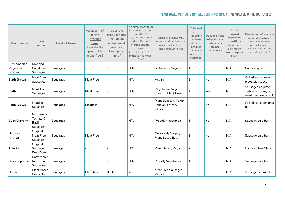| <b>Brand name</b>                            | <b>Product</b><br>name                       | Product format <sup>c</sup> | What terms <sup>D</sup><br>in the<br>product<br>name <sup>-</sup><br>indicate the<br>product is<br>meat-free <sup>F</sup> ? | Does the<br>product name<br>include an<br>animal meat<br>term $6$ , e.g.<br>beef, pork,<br>lamb? | If animal meat term<br>is used, is the term<br>modified <sup>+</sup><br>(e.g. beef-less, chick'n)<br>or does the name<br>include another<br>term<br>(e.g. plant-based) to<br>indicate it is meat-<br>free? | <b>Additional meat-free</b><br>terms used on front-of-<br>pack product label<br>(not in product name) | Total # of<br>terms<br>indicating<br>meat-free<br>status in<br>product<br>name and<br>on front-of-<br>pack label | Does the front<br>-of-pack label<br>include any<br>animal<br>depictions? | Do the<br>animal<br>depictions<br>constitute<br>more than<br>10% of the<br>front-of-pack<br>label? | Description of front-of-<br>pack label artwork<br>(including relevant<br>product imagery,<br>iconography, and any<br>animal depictions) |
|----------------------------------------------|----------------------------------------------|-----------------------------|-----------------------------------------------------------------------------------------------------------------------------|--------------------------------------------------------------------------------------------------|------------------------------------------------------------------------------------------------------------------------------------------------------------------------------------------------------------|-------------------------------------------------------------------------------------------------------|------------------------------------------------------------------------------------------------------------------|--------------------------------------------------------------------------|----------------------------------------------------------------------------------------------------|-----------------------------------------------------------------------------------------------------------------------------------------|
| Suzy Spoon's<br>Vegetarian<br><b>Butcher</b> | Kale and<br>Cauliflower<br>Sausages          | Sausages                    |                                                                                                                             |                                                                                                  | N/A                                                                                                                                                                                                        | Suitable for Vegans                                                                                   | 1                                                                                                                | No                                                                       | N/A                                                                                                | Cartoon spoon                                                                                                                           |
| Earth Grown                                  | Meat Free<br>Sausages                        | Sausages                    | Meat Free                                                                                                                   |                                                                                                  | N/A                                                                                                                                                                                                        | Vegan                                                                                                 | 2                                                                                                                | No                                                                       | N/A                                                                                                | Grilled sausages on<br>plate with sauce                                                                                                 |
| Earth                                        | Meat-Free<br>Sausages                        | Sausages                    | Meat Free                                                                                                                   |                                                                                                  | N/A                                                                                                                                                                                                        | Vegetarian, Vegan<br>Friendly, Plant Based                                                            | 4                                                                                                                | Yes                                                                      | No                                                                                                 | Sausages on plate,<br>cartoon cow saying<br>meat free cowboom!                                                                          |
| Earth Grown                                  | Meatless<br>Sausages                         | Sausages                    | Meatless                                                                                                                    |                                                                                                  | N/A                                                                                                                                                                                                        | Plant Based, A Vegan<br>Take on a Meaty<br>Classic                                                    | 3                                                                                                                | No                                                                       | N/A                                                                                                | Grilled sausages on a<br>bun                                                                                                            |
| Bean Supreme                                 | Mozzarella,<br>Tomato &<br>Basil<br>Sausages | Sausages                    |                                                                                                                             |                                                                                                  | N/A                                                                                                                                                                                                        | Proudly Vegetarian                                                                                    | $\mathbf{1}$                                                                                                     | No                                                                       | N/A                                                                                                | Sausage on a bun                                                                                                                        |
| Nature's<br>Kitchen                          | Original<br>Meat Free<br>Sausages            | Sausages                    | <b>Meat Free</b>                                                                                                            |                                                                                                  | N/A                                                                                                                                                                                                        | Deliciously Vegan,<br><b>Plant Based Eats</b>                                                         | 3                                                                                                                | No                                                                       | N/A                                                                                                | Sausage on a bun                                                                                                                        |
| Tofurky                                      | Original<br>Sausage<br><b>Beer Brats</b>     | Sausages                    |                                                                                                                             |                                                                                                  | N/A                                                                                                                                                                                                        | Plant Based, Vegan                                                                                    | 2                                                                                                                | <b>No</b>                                                                | N/A                                                                                                | <b>Cartoon Beer Glass</b>                                                                                                               |
| Bean Supreme                                 | Parmesan &<br>Red Onion<br>Sausages          | Sausages                    |                                                                                                                             |                                                                                                  | N/A                                                                                                                                                                                                        | Proudly Vegetarian                                                                                    | $\mathbf{1}$                                                                                                     | <b>No</b>                                                                | N/A                                                                                                | Sausage on a bun                                                                                                                        |
| Unreal Co.                                   | <b>Plant Based</b><br><b>Beefy Brat</b>      | Sausages                    | Plant based                                                                                                                 | Beefy                                                                                            | Yes                                                                                                                                                                                                        | Meat Free Sausages,<br>Vegan,                                                                         | 3                                                                                                                | No                                                                       | N/A                                                                                                | Sausages in skillet                                                                                                                     |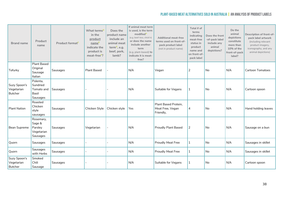| <b>Brand name</b>                            | Product<br>name                                          | Product format <sup>c</sup> | What terms <sup>D</sup><br>in the<br>product<br>name <sup>E</sup><br>indicate the<br>product is<br>meat-free <sup>F</sup> ? | Does the<br>product name<br>include an<br>animal meat<br>term <sup>G</sup> , e.g.<br>beef, pork,<br>lamb? | If animal meat term<br>is used, is the term<br>modified <sup>H</sup><br>(e.g. beef-less, chick'n)<br>or does the name<br>include another<br>term<br>(e.g. plant-based) to<br>indicate it is meat-<br>free? | <b>Additional meat-free</b><br>terms used on front-of-<br>pack product label<br>(not in product name) | Total # of<br>terms<br>indicating<br>meat-free<br>status in<br>product<br>name and<br>on front-of-<br>pack label | Does the front<br>-of-pack label<br>include any<br>animal<br>depictions? | Do the<br>animal<br>depictions<br>constitute<br>more than<br>10% of the<br>front-of-pack<br>label? | Description of front-of-<br>pack label artwork<br>(including relevant<br>product imagery,<br>iconography, and any<br>animal depictions) |
|----------------------------------------------|----------------------------------------------------------|-----------------------------|-----------------------------------------------------------------------------------------------------------------------------|-----------------------------------------------------------------------------------------------------------|------------------------------------------------------------------------------------------------------------------------------------------------------------------------------------------------------------|-------------------------------------------------------------------------------------------------------|------------------------------------------------------------------------------------------------------------------|--------------------------------------------------------------------------|----------------------------------------------------------------------------------------------------|-----------------------------------------------------------------------------------------------------------------------------------------|
| Tofurky                                      | <b>Plant Based</b><br>Original<br>Sausage<br>Italian     | Sausages                    | <b>Plant Based</b>                                                                                                          |                                                                                                           | N/A                                                                                                                                                                                                        | Vegan                                                                                                 | $\overline{2}$                                                                                                   | No                                                                       | N/A                                                                                                | <b>Cartoon Tomatoes</b>                                                                                                                 |
| Suzy Spoon's<br>Vegetarian<br><b>Butcher</b> | Polenta,<br>Sundried<br>Tomato and<br>Basil<br>Sausages  | Sausages                    |                                                                                                                             |                                                                                                           | N/A                                                                                                                                                                                                        | Suitable for Vegans                                                                                   | $\mathbf{1}$                                                                                                     | N <sub>o</sub>                                                           | N/A                                                                                                | Cartoon spoon                                                                                                                           |
| <b>Plant Nation</b>                          | Roasted<br>Chicken<br>style<br>sausages                  | Sausages                    | Chicken Style                                                                                                               | Chicken style                                                                                             | Yes                                                                                                                                                                                                        | Plant Based Protein,<br>Meat Free, Vegan<br>Friendly,                                                 | 4                                                                                                                | No                                                                       | N/A                                                                                                | Hand holding leaves                                                                                                                     |
| Bean Supreme                                 | Rosemary,<br>Sage &<br>Parsley<br>Vegetarian<br>Sausages | Sausages                    | Vegetarian                                                                                                                  |                                                                                                           | N/A                                                                                                                                                                                                        | <b>Proudly Plant Based</b>                                                                            | $\overline{2}$                                                                                                   | No                                                                       | N/A                                                                                                | Sausage on a bun                                                                                                                        |
| Quorn                                        | Sausages                                                 | Sausages                    |                                                                                                                             |                                                                                                           | N/A                                                                                                                                                                                                        | <b>Proudly Meat Free</b>                                                                              | $\mathbf{1}$                                                                                                     | No                                                                       | N/A                                                                                                | Sausages in skillet                                                                                                                     |
| Quorn                                        | Sausages<br>with Herbs                                   | Sausages                    |                                                                                                                             |                                                                                                           | N/A                                                                                                                                                                                                        | <b>Proudly Meat Free</b>                                                                              | 1                                                                                                                | No                                                                       | N/A                                                                                                | Sausages in skillet                                                                                                                     |
| Suzy Spoon's<br>Vegetarian<br><b>Butcher</b> | Smoked<br>Chili<br>Sausage                               | Sausages                    |                                                                                                                             |                                                                                                           | N/A                                                                                                                                                                                                        | Suitable for Vegans                                                                                   | 1                                                                                                                | No                                                                       | N/A                                                                                                | Cartoon spoon                                                                                                                           |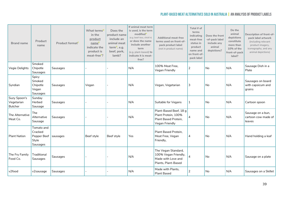| <b>Brand name</b>                            | Product<br>name                                                      | Product format <sup>c</sup> | What terms <sup>D</sup><br>in the<br>product<br>name <sup>L</sup><br>indicate the<br>product is<br>meat-free <sup>F</sup> ? | Does the<br>product name<br>include an<br>animal meat<br>term <sup>G</sup> , e.g.<br>beef, pork,<br>lamb? | If animal meat term<br>is used, is the term<br>modifiedh<br>(e.g. beef-less, chick'n)<br>or does the name<br>include another<br>term<br>(e.g. plant-based) to<br>indicate it is meat-<br>free? | <b>Additional meat-free</b><br>terms used on front-of-<br>pack product label<br>(not in product name) | Total # of<br>terms<br>indicating<br>meat-free<br>status in<br>product<br>name and<br>on front-of-<br>pack label | Does the front<br>-of-pack label<br>include any<br>animal<br>depictions? | Do the<br>animal<br>depictions<br>constitute<br>more than<br>10% of the<br>front-of-pack<br>label? | Description of front-of-<br>pack label artwork<br>(including relevant<br>product imagery,<br>iconography, and any<br>animal depictions) |
|----------------------------------------------|----------------------------------------------------------------------|-----------------------------|-----------------------------------------------------------------------------------------------------------------------------|-----------------------------------------------------------------------------------------------------------|------------------------------------------------------------------------------------------------------------------------------------------------------------------------------------------------|-------------------------------------------------------------------------------------------------------|------------------------------------------------------------------------------------------------------------------|--------------------------------------------------------------------------|----------------------------------------------------------------------------------------------------|-----------------------------------------------------------------------------------------------------------------------------------------|
| Vegie Delights                               | Smoked<br>Chipotle<br>Sausages                                       | Sausages                    |                                                                                                                             |                                                                                                           | N/A                                                                                                                                                                                            | 100% Meat Free,<br>Vegan Friendly                                                                     | 2                                                                                                                | <b>No</b>                                                                | N/A                                                                                                | Sausage Dish in a<br>Plate                                                                                                              |
| Syndian                                      | Spicy<br>Smoked<br>Chipotle<br>Vegan<br>Sausages                     | <b>Sausages</b>             | Vegan                                                                                                                       |                                                                                                           | N/A                                                                                                                                                                                            | Vegan, Vegetarian                                                                                     | 3                                                                                                                | No                                                                       | N/A                                                                                                | Sausages on board<br>with capsicum and<br>grains                                                                                        |
| Suzy Spoon's<br>Vegetarian<br><b>Butcher</b> | Sunday<br>Herbed<br>Sausage                                          | Sausages                    |                                                                                                                             |                                                                                                           | N/A                                                                                                                                                                                            | Suitable for Vegans                                                                                   | 1                                                                                                                | <b>No</b>                                                                | N/A                                                                                                | Cartoon spoon                                                                                                                           |
| The Alternative<br>Meat Co.                  | The<br>Alternative<br>Sausage                                        | <b>Sausages</b>             |                                                                                                                             |                                                                                                           | N/A                                                                                                                                                                                            | Plant-Based Beef, 18 g<br>Plant Protein, 100%<br>Plant Based Protein,<br>Vegan Friendly               | 4                                                                                                                | No                                                                       | N/A                                                                                                | Sausage on a bun,<br>cartoon cow made of<br>leaves                                                                                      |
| <b>Plant Nation</b>                          | Tomato and<br>Cracked<br>Pepper Beef   sausages<br>Style<br>Sausages |                             | Beef style                                                                                                                  | Beef style                                                                                                | Yes                                                                                                                                                                                            | Plant Based Protein,<br>Meat Free, Vegan<br>Friendly,                                                 | 4                                                                                                                | No                                                                       | N/A                                                                                                | Hand holding a leaf                                                                                                                     |
| The Fry Family<br>Food Co.                   | Traditional<br>Sausages                                              | Sausages                    |                                                                                                                             |                                                                                                           | N/A                                                                                                                                                                                            | The Vegan Standard,<br>100% Vegan Friendly,<br>Made with Love and<br>Plants, Plant-Based              | 4                                                                                                                | <b>No</b>                                                                | N/A                                                                                                | Sausage on a plate                                                                                                                      |
| v2food                                       | v2sausage                                                            | Sausages                    |                                                                                                                             |                                                                                                           | N/A                                                                                                                                                                                            | Made with Plants,<br><b>Plant Based</b>                                                               | 2                                                                                                                | <b>No</b>                                                                | N/A                                                                                                | Sausages on a Skillet                                                                                                                   |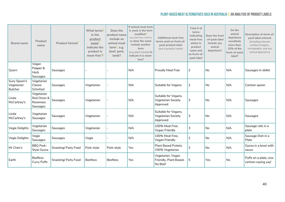| <b>Brand name</b>                            | Product<br>name                                   | Product format <sup>c</sup> | What terms <sup>D</sup><br>in the<br>product<br>name <sup>E</sup><br>indicate the<br>product is<br>meat-free <sup>F</sup> ? | Does the<br>product name<br>include an<br>animal meat<br>term <sup>G</sup> , e.g.<br>beef, pork,<br>lamb? | If animal meat term<br>is used, is the term<br>modified <sup>H</sup><br>(e.g. beef-less, chick'n)<br>or does the name<br>include another<br>term<br>(e.g. plant-based) to<br>indicate it is meat-<br>free? | <b>Additional meat-free</b><br>terms used on front-of-<br>pack product label<br>(not in product name) | Total # of<br>terms<br>indicating<br>meat-free<br>status in<br>product<br>name and<br>on front-of-<br>pack label | Does the front<br>-of-pack label<br>include any<br>animal<br>depictions? | Do the<br>animal<br>depictions<br>constitute<br>more than<br>10% of the<br>front-of-pack<br>label? | Description of front-of-<br>pack label artwork<br>(including relevant<br>product imagery,<br>iconography, and any<br>animal depictions) |
|----------------------------------------------|---------------------------------------------------|-----------------------------|-----------------------------------------------------------------------------------------------------------------------------|-----------------------------------------------------------------------------------------------------------|------------------------------------------------------------------------------------------------------------------------------------------------------------------------------------------------------------|-------------------------------------------------------------------------------------------------------|------------------------------------------------------------------------------------------------------------------|--------------------------------------------------------------------------|----------------------------------------------------------------------------------------------------|-----------------------------------------------------------------------------------------------------------------------------------------|
| Quorn                                        | Vegan<br>Pepper &<br>Herb<br>Sausages             | Sausages                    |                                                                                                                             |                                                                                                           | N/A                                                                                                                                                                                                        | <b>Proudly Meat Free</b>                                                                              | $\overline{2}$                                                                                                   | No                                                                       | N/A                                                                                                | Sausages in skillet                                                                                                                     |
| Suzy Spoon's<br>Vegetarian<br><b>Butcher</b> | Vegetarian<br>Classic<br>Schnitzel                | Sausages                    | Vegetarian                                                                                                                  |                                                                                                           | N/A                                                                                                                                                                                                        | Suitable for Vegans                                                                                   | $\overline{2}$                                                                                                   | No                                                                       | N/A                                                                                                | Cartoon spoon                                                                                                                           |
| Linda<br>McCartney's                         | Vegetarian<br>Red Onion &<br>Rosemary<br>Sausages | Sausages                    | Vegetarian                                                                                                                  |                                                                                                           | N/A                                                                                                                                                                                                        | Suitable for Vegans,<br>Vegetarian Society<br>Approved                                                | 3                                                                                                                | <b>No</b>                                                                | N/A                                                                                                | Sausages                                                                                                                                |
| Linda<br>McCartney's                         | Vegetarian<br>Sausages                            | Sausages                    | Vegetarian                                                                                                                  |                                                                                                           | N/A                                                                                                                                                                                                        | Suitable for Vegans,<br>Vegetarian Society<br>Approved                                                | 3                                                                                                                | No                                                                       | N/A                                                                                                | Sausages                                                                                                                                |
| Vegie Delights                               | Vegetarian<br>Sausages                            | Sausages                    | Vegetarian                                                                                                                  |                                                                                                           | N/A                                                                                                                                                                                                        | 100% Meat Free.<br>Vegan Friendly                                                                     | 3                                                                                                                | <b>No</b>                                                                | N/A                                                                                                | Sausage rolls in a<br>plate                                                                                                             |
| Vegie Delights                               | Vegie<br>Sausages                                 | Sausages                    | Vegie                                                                                                                       |                                                                                                           | N/A                                                                                                                                                                                                        | 100% Meat Free.<br>Vegan Friendly                                                                     | 2                                                                                                                | No                                                                       | N/A                                                                                                | Sausage Dish in a<br>Plate                                                                                                              |
| Mr Chen's                                    | <b>BBQ Pork-</b><br>Style Gyoza                   | Snacking/ Party Food        | Pork-style                                                                                                                  | Pork-style                                                                                                | Yes                                                                                                                                                                                                        | Plant Based Protein,<br>100% Vegetarian                                                               | 3                                                                                                                | <b>No</b>                                                                | N/A                                                                                                | Gyoza in a bowl with<br>sauce                                                                                                           |
| Earth                                        | <b>Beefless</b><br>Curry Puffs                    | Snacking/ Party Food        | <b>Beefless</b>                                                                                                             | <b>Beefless</b>                                                                                           | Yes                                                                                                                                                                                                        | Vegetarian, Vegan<br>Friendly, Plant Based,<br>No Beef                                                | 5                                                                                                                | Yes                                                                      | No                                                                                                 | Puffs on a plate, cow<br>cartoon saying yay!                                                                                            |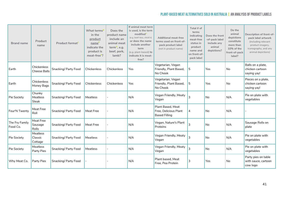| <b>Brand name</b>          | Product<br>name                    | Product format <sup>c</sup> | What terms <sup>D</sup><br>in the<br>product<br>name <sup>E</sup><br>indicate the<br>product is<br>meat-free <sup>F</sup> ? | Does the<br>product name<br>include an<br>animal meat<br>term <sup>G</sup> , e.g.<br>beef, pork,<br>lamb? | If animal meat term<br>is used, is the term<br>modified <sup>+</sup><br>(e.g. beef-less, chick'n)<br>or does the name<br>include another<br>term<br>(e.g. plant-based) to<br>indicate it is meat-<br>free? | <b>Additional meat-free</b><br>terms used on front-of-<br>pack product label<br>(not in product name) | Total # of<br>terms<br>indicating<br>meat-free<br>status in<br>product<br>name and<br>on front-of-<br>pack label | Does the front<br>-of-pack label<br>include any<br>animal<br>depictions? | Do the<br>animal<br>depictions<br>constitute<br>more than<br>10% of the<br>front-of-pack<br>label? | Description of front-of-<br>pack label artwork<br>(including relevant<br>product imagery,<br>iconography, and any<br>animal depictions) |
|----------------------------|------------------------------------|-----------------------------|-----------------------------------------------------------------------------------------------------------------------------|-----------------------------------------------------------------------------------------------------------|------------------------------------------------------------------------------------------------------------------------------------------------------------------------------------------------------------|-------------------------------------------------------------------------------------------------------|------------------------------------------------------------------------------------------------------------------|--------------------------------------------------------------------------|----------------------------------------------------------------------------------------------------|-----------------------------------------------------------------------------------------------------------------------------------------|
| Earth                      | Chickenless<br><b>Cheese Balls</b> | Snacking/ Party Food        | Chickenless                                                                                                                 | Chickenless                                                                                               | Yes                                                                                                                                                                                                        | Vegetarian, Vegan<br>Friendly, Plant Based,<br>No Chook                                               | 5                                                                                                                | Yes                                                                      | No                                                                                                 | Balls on a plate,<br>chicken cartoon<br>saying yay!                                                                                     |
| Earth                      | Chickenless<br>Money Bags          | Snacking/ Party Food        | Chickenless                                                                                                                 | Chickenless                                                                                               | Yes                                                                                                                                                                                                        | Vegetarian, Vegan<br>Friendly, Plant Based,<br>No Chook                                               | 5                                                                                                                | Yes                                                                      | No                                                                                                 | Pieces on a plate,<br>chicken cartoon<br>saying yay!                                                                                    |
| Pie Society                | Chunky<br>Meatless<br><b>Steak</b> | Snacking/ Party Food        | Meatless                                                                                                                    |                                                                                                           | N/A                                                                                                                                                                                                        | Vegan Friendly, Meaty<br>Vegan                                                                        | 3                                                                                                                | <b>No</b>                                                                | N/A                                                                                                | Pie on plate with<br>vegetables                                                                                                         |
| Four'N Twenty              | Meat Free<br>Roll                  | Snacking/ Party Food        | Meat Free                                                                                                                   |                                                                                                           | N/A                                                                                                                                                                                                        | <b>Plant Based, Meat</b><br>Free, Delicious Plant<br><b>Based Filling</b>                             | 4                                                                                                                | <b>No</b>                                                                | N/A                                                                                                |                                                                                                                                         |
| The Fry Family<br>Food Co. | Meat Free<br>Sausage<br>Rolls      | Snacking/ Party Food        | <b>Meat Free</b>                                                                                                            |                                                                                                           | N/A                                                                                                                                                                                                        | Vegan, Nature's Plant<br>Proteins                                                                     | 3                                                                                                                | No                                                                       | N/A                                                                                                | Sausage Rolls on<br>plate                                                                                                               |
| Pie Society                | Meatless<br>Classic<br>Cottage     | Snacking/ Party Food        | Meatless                                                                                                                    |                                                                                                           | N/A                                                                                                                                                                                                        | Vegan Friendly, Meaty<br>Vegan                                                                        | 3                                                                                                                | <b>No</b>                                                                | N/A                                                                                                | Pie on plate with<br>vegetables                                                                                                         |
| Pie Society                | <b>Meatless</b><br>Party Pies      | Snacking/ Party Food        | Meatless                                                                                                                    |                                                                                                           | N/A                                                                                                                                                                                                        | Vegan Friendly, Meaty<br>Vegan                                                                        | 3                                                                                                                | <b>No</b>                                                                | N/A                                                                                                | Pie on plate with<br>vegetables                                                                                                         |
| Why Meat Co.               | Party Pies                         | Snacking/ Party Food        |                                                                                                                             |                                                                                                           | N/A                                                                                                                                                                                                        | Plant based. Meat<br>Free. Pea Protein                                                                | 3                                                                                                                | Yes                                                                      | No                                                                                                 | Party pies on table<br>with sauce, cartoon<br>cow logo                                                                                  |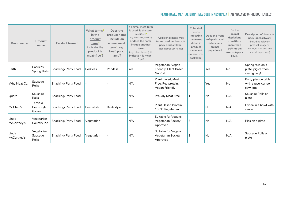| <b>Brand name</b>    | Product<br>name                        | Product format <sup>c</sup> | What terms <sup>D</sup><br>in the<br>product<br>name <sup>-</sup><br>indicate the<br>product is<br>meat-free <sup>F</sup> ? | Does the<br>product name<br>include an<br>animal meat<br>term <sup>G</sup> , e.g.<br>beef, pork,<br>lamb? | If animal meat term<br>is used, is the term<br>modified <sup>H</sup><br>(e.g. beef-less, chick'n)<br>or does the name<br>include another<br>term<br>(e.g. plant-based) to<br>indicate it is meat-<br>free? | <b>Additional meat-free</b><br>terms used on front-of-<br>pack product label<br>(not in product name) | Total # of<br>terms<br>indicating<br>meat-free<br>status in<br>product<br>name and<br>on front-of-<br>pack label | Does the front<br>-of-pack label<br>include any<br>animal<br>depictions? | Do the<br>animal<br>depictions<br>constitute<br>more than<br>10% of the<br>front-of-pack<br>label? | Description of front-of-<br>pack label artwork<br>(including relevant<br>product imagery,<br>iconography, and any<br>animal depictions) |
|----------------------|----------------------------------------|-----------------------------|-----------------------------------------------------------------------------------------------------------------------------|-----------------------------------------------------------------------------------------------------------|------------------------------------------------------------------------------------------------------------------------------------------------------------------------------------------------------------|-------------------------------------------------------------------------------------------------------|------------------------------------------------------------------------------------------------------------------|--------------------------------------------------------------------------|----------------------------------------------------------------------------------------------------|-----------------------------------------------------------------------------------------------------------------------------------------|
| Earth                | <b>Porkless</b><br><b>Spring Rolls</b> | Snacking/ Party Food        | Porkless                                                                                                                    | Porkless                                                                                                  | Yes                                                                                                                                                                                                        | Vegetarian, Vegan<br>Friendly, Plant Based,<br>No Pork                                                | 5                                                                                                                | Yes                                                                      | No                                                                                                 | Spring rolls on a<br>plate, pig cartoon<br>saying 'yay!                                                                                 |
| Why Meat Co.         | Sausage<br><b>Rolls</b>                | Snacking/ Party Food        |                                                                                                                             |                                                                                                           | N/A                                                                                                                                                                                                        | Plant based. Meat<br>Free, Pea protein,<br>Vegan Friendly                                             | 4                                                                                                                | Yes                                                                      | <b>No</b>                                                                                          | Party pies on table<br>with sauce, cartoon<br>cow logo                                                                                  |
| Quorn                | Sausage<br><b>Rolls</b>                | Snacking/ Party Food        |                                                                                                                             |                                                                                                           | N/A                                                                                                                                                                                                        | <b>Proudly Meat Free</b>                                                                              | 1                                                                                                                | No                                                                       | N/A                                                                                                | Sausage Rolls on<br>plate                                                                                                               |
| Mr Chen's            | Teriyaki<br>Beef-Style<br>Gyoza        | Snacking/ Party Food        | Beef-style                                                                                                                  | Beef-style                                                                                                | Yes                                                                                                                                                                                                        | Plant Based Protein.<br>100% Vegetarian                                                               | 3                                                                                                                | No                                                                       | N/A                                                                                                | Gyoza in a bowl with<br>sauce                                                                                                           |
| Linda<br>McCartney's | Vegetarian<br>Country Pie              | Snacking/ Party Food        | Vegetarian                                                                                                                  |                                                                                                           | N/A                                                                                                                                                                                                        | Suitable for Vegans,<br>Vegetarian Society<br>Approved                                                | 3                                                                                                                | No.                                                                      | N/A                                                                                                | Pies on a plate                                                                                                                         |
| Linda<br>McCartney's | Vegetarian<br>Sausage<br><b>Rolls</b>  | Snacking/ Party Food        | Vegetarian                                                                                                                  |                                                                                                           | N/A                                                                                                                                                                                                        | Suitable for Vegans,<br>Vegetarian Society<br>Approved                                                | 3                                                                                                                | No                                                                       | N/A                                                                                                | Sausage Rolls on<br>plate                                                                                                               |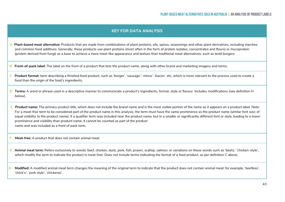#### **KEY FOR DATA ANALYSIS**

**A Plant-based meat alternative:** Products that are made from combinations of plant proteins, oils, spices, seasonings and other plant derivatives, including starches and common food additives. Generally, these products use plant proteins (most often in the form of protein isolates, concentrates and flours) or mycoprotein (protein derived from fungi) as a base to achieve a more meat-like appearance and texture than traditional meat alternatives, such as lentil burgers.

 **B Front-of-pack label:** The label on the front of a product that lists the product name, along with other brand and marketing imagery and terms.

- **C Product format:** term describing a finished food product, such as 'burger', 'sausage',' mince', 'bacon', etc, which is more relevant to the process used to create a food than the origin of the food's ingredients.
- **D** Terms: A word or phrase used in a descriptive manner to communicate a product's ingredients, format, style or flavour. Includes modifications (see definition H below).
- **E Product name:** The primary product title, which does not include the brand name and is the most visible portion of the name as it appears on a product label. Note: For a meat-free term to be considered part of the product name in this analysis, the term must have the same prominence as the product name (similar font size; of equal visibility to the product name). If a qualifier term was included near the product name, but in a smaller or significantly different font or style, leading to a lower prominence and visibility than product name, it cannot be counted as part of the product name and was included as a front of pack term.
- **F Meat-free:** A product that does not contain animal meat.
- **G Animal meat term:** Refers exclusively to words: beef, chicken, duck, pork, fish, prawn, scallop, salmon; or variations on these words such as 'beefy,' 'chicken-style', which modify the term to indicate the product is meat-free. Does not include terms indicating the format of a food product, as per definition C above.
- **H Modified:** A modified animal meat term changes the meaning of the original term to indicate that the product does not contain animal meat; for example, 'beefless', 'chick'n', 'pork style', 'chickenie'.